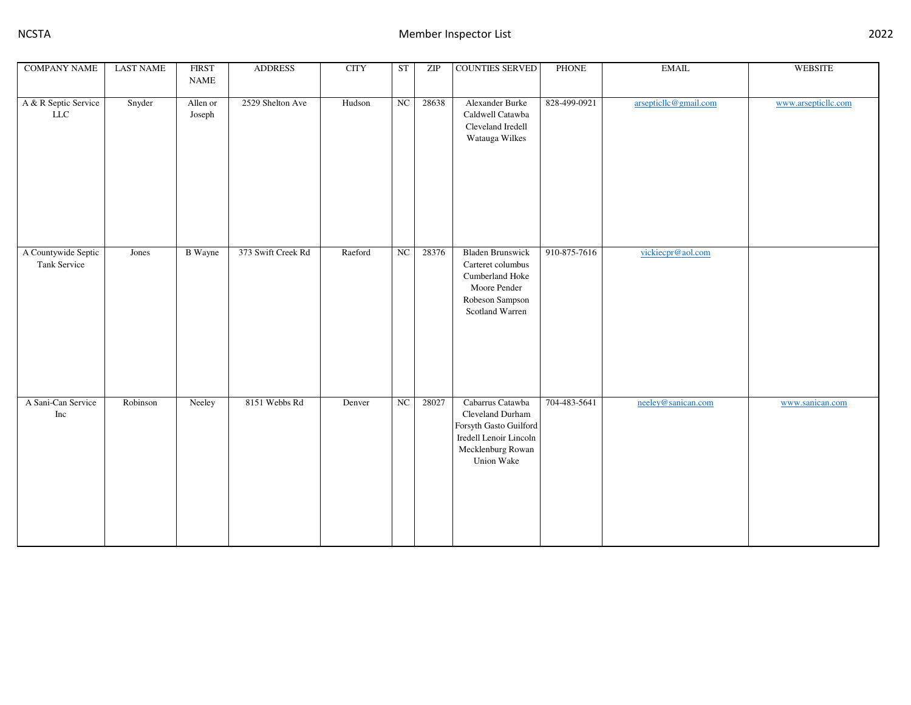| <b>COMPANY NAME</b>                 | <b>LAST NAME</b> | <b>FIRST</b><br><b>NAME</b> | <b>ADDRESS</b>     | <b>CITY</b> | <b>ST</b>   | ZIP   | <b>COUNTIES SERVED</b>                                                                                                      | <b>PHONE</b> | <b>EMAIL</b>          | <b>WEBSITE</b>      |
|-------------------------------------|------------------|-----------------------------|--------------------|-------------|-------------|-------|-----------------------------------------------------------------------------------------------------------------------------|--------------|-----------------------|---------------------|
| A & R Septic Service<br>${\rm LLC}$ | Snyder           | Allen or<br>Joseph          | 2529 Shelton Ave   | Hudson      | NC          | 28638 | Alexander Burke<br>Caldwell Catawba<br>Cleveland Iredell<br>Watauga Wilkes                                                  | 828-499-0921 | arsepticllc@gmail.com | www.arsepticllc.com |
| A Countywide Septic<br>Tank Service | Jones            | <b>B</b> Wayne              | 373 Swift Creek Rd | Raeford     | $_{\rm NC}$ | 28376 | <b>Bladen Brunswick</b><br>Carteret columbus<br>Cumberland Hoke<br>Moore Pender<br>Robeson Sampson<br>Scotland Warren       | 910-875-7616 | vickiecpr@aol.com     |                     |
| A Sani-Can Service<br>Inc           | Robinson         | Neeley                      | 8151 Webbs Rd      | Denver      | NC          | 28027 | Cabarrus Catawba<br>Cleveland Durham<br>Forsyth Gasto Guilford<br>Iredell Lenoir Lincoln<br>Mecklenburg Rowan<br>Union Wake | 704-483-5641 | neeley@sanican.com    | www.sanican.com     |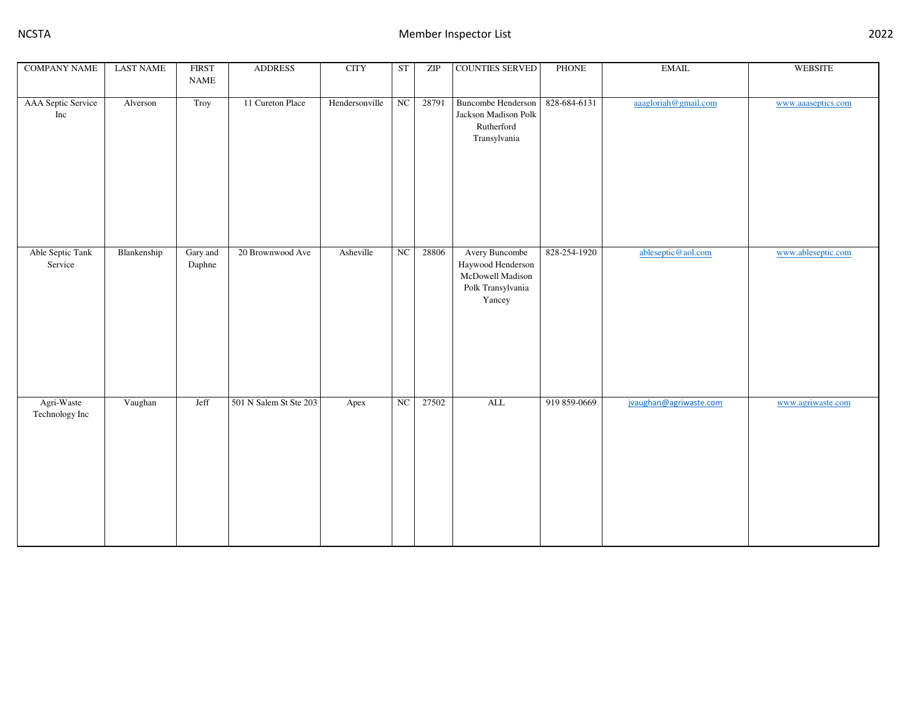| <b>COMPANY NAME</b>          | <b>LAST NAME</b> | <b>FIRST</b><br><b>NAME</b> | <b>ADDRESS</b>         | <b>CITY</b>    | ST         | ZIP   | <b>COUNTIES SERVED</b>                                                                 | PHONE        | $\operatorname{EMAIL}$ | <b>WEBSITE</b>     |
|------------------------------|------------------|-----------------------------|------------------------|----------------|------------|-------|----------------------------------------------------------------------------------------|--------------|------------------------|--------------------|
| AAA Septic Service<br>Inc    | Alverson         | Troy                        | 11 Cureton Place       | Hendersonville | NC         | 28791 | <b>Buncombe Henderson</b><br>Jackson Madison Polk<br>Rutherford<br>Transylvania        | 828-684-6131 | aaagloriah@gmail.com   | www.aaaseptics.com |
| Able Septic Tank<br>Service  | Blankenship      | Gary and<br>Daphne          | 20 Brownwood Ave       | Asheville      | NC         | 28806 | Avery Buncombe<br>Haywood Henderson<br>McDowell Madison<br>Polk Transylvania<br>Yancey | 828-254-1920 | ableseptic@aol.com     | www.ableseptic.com |
| Agri-Waste<br>Technology Inc | Vaughan          | Jeff                        | 501 N Salem St Ste 203 | Apex           | ${\rm NC}$ | 27502 | $\mbox{ALL}$                                                                           | 919 859-0669 | jvaughan@agriwaste.com | www.agriwaste.com  |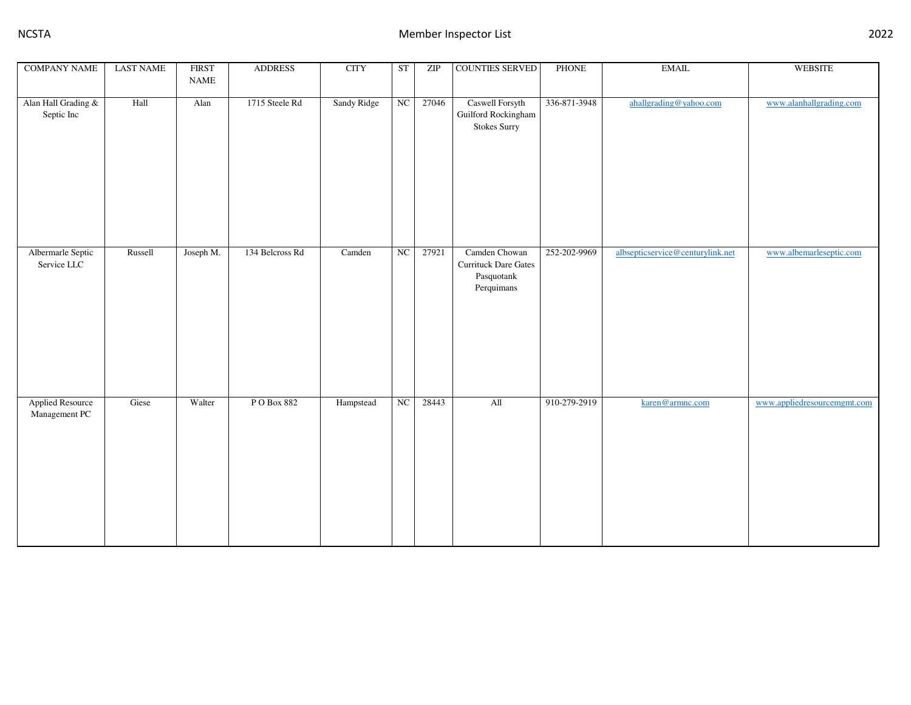| <b>COMPANY NAME</b>               | <b>LAST NAME</b> | <b>FIRST</b>                 | <b>ADDRESS</b>  | <b>CITY</b> | <b>ST</b>   | ZIP   | <b>COUNTIES SERVED</b>                    | PHONE        | $\operatorname{EMAIL}$           | <b>WEBSITE</b>              |
|-----------------------------------|------------------|------------------------------|-----------------|-------------|-------------|-------|-------------------------------------------|--------------|----------------------------------|-----------------------------|
|                                   |                  | $\ensuremath{\mathsf{NAME}}$ |                 |             |             |       |                                           |              |                                  |                             |
|                                   | Hall             | Alan                         | 1715 Steele Rd  |             | NC          | 27046 |                                           | 336-871-3948 |                                  | www.alanhallgrading.com     |
| Alan Hall Grading &<br>Septic Inc |                  |                              |                 | Sandy Ridge |             |       | Caswell Forsyth<br>Guilford Rockingham    |              | ahallgrading@yahoo.com           |                             |
|                                   |                  |                              |                 |             |             |       | <b>Stokes Surry</b>                       |              |                                  |                             |
|                                   |                  |                              |                 |             |             |       |                                           |              |                                  |                             |
|                                   |                  |                              |                 |             |             |       |                                           |              |                                  |                             |
|                                   |                  |                              |                 |             |             |       |                                           |              |                                  |                             |
|                                   |                  |                              |                 |             |             |       |                                           |              |                                  |                             |
|                                   |                  |                              |                 |             |             |       |                                           |              |                                  |                             |
|                                   |                  |                              |                 |             |             |       |                                           |              |                                  |                             |
|                                   |                  |                              |                 |             |             |       |                                           |              |                                  |                             |
|                                   |                  |                              |                 |             |             |       |                                           |              |                                  |                             |
|                                   |                  |                              |                 |             |             |       |                                           |              |                                  |                             |
| Albermarle Septic                 | Russell          | Joseph M.                    | 134 Belcross Rd | Camden      | $_{\rm NC}$ | 27921 | Camden Chowan                             | 252-202-9969 | albsepticservice@centurylink.net | www.albemarleseptic.com     |
| Service LLC                       |                  |                              |                 |             |             |       | <b>Currituck Dare Gates</b><br>Pasquotank |              |                                  |                             |
|                                   |                  |                              |                 |             |             |       | Perquimans                                |              |                                  |                             |
|                                   |                  |                              |                 |             |             |       |                                           |              |                                  |                             |
|                                   |                  |                              |                 |             |             |       |                                           |              |                                  |                             |
|                                   |                  |                              |                 |             |             |       |                                           |              |                                  |                             |
|                                   |                  |                              |                 |             |             |       |                                           |              |                                  |                             |
|                                   |                  |                              |                 |             |             |       |                                           |              |                                  |                             |
|                                   |                  |                              |                 |             |             |       |                                           |              |                                  |                             |
|                                   |                  |                              |                 |             |             |       |                                           |              |                                  |                             |
|                                   |                  |                              |                 |             |             |       |                                           |              |                                  |                             |
| Applied Resource<br>Management PC | Giese            | Walter                       | PO Box 882      | Hampstead   | ${\rm NC}$  | 28443 | $\mathop{\rm All}\nolimits$               | 910-279-2919 | karen@armnc.com                  | www.appliedresourcemgmt.com |
|                                   |                  |                              |                 |             |             |       |                                           |              |                                  |                             |
|                                   |                  |                              |                 |             |             |       |                                           |              |                                  |                             |
|                                   |                  |                              |                 |             |             |       |                                           |              |                                  |                             |
|                                   |                  |                              |                 |             |             |       |                                           |              |                                  |                             |
|                                   |                  |                              |                 |             |             |       |                                           |              |                                  |                             |
|                                   |                  |                              |                 |             |             |       |                                           |              |                                  |                             |
|                                   |                  |                              |                 |             |             |       |                                           |              |                                  |                             |
|                                   |                  |                              |                 |             |             |       |                                           |              |                                  |                             |
|                                   |                  |                              |                 |             |             |       |                                           |              |                                  |                             |
|                                   |                  |                              |                 |             |             |       |                                           |              |                                  |                             |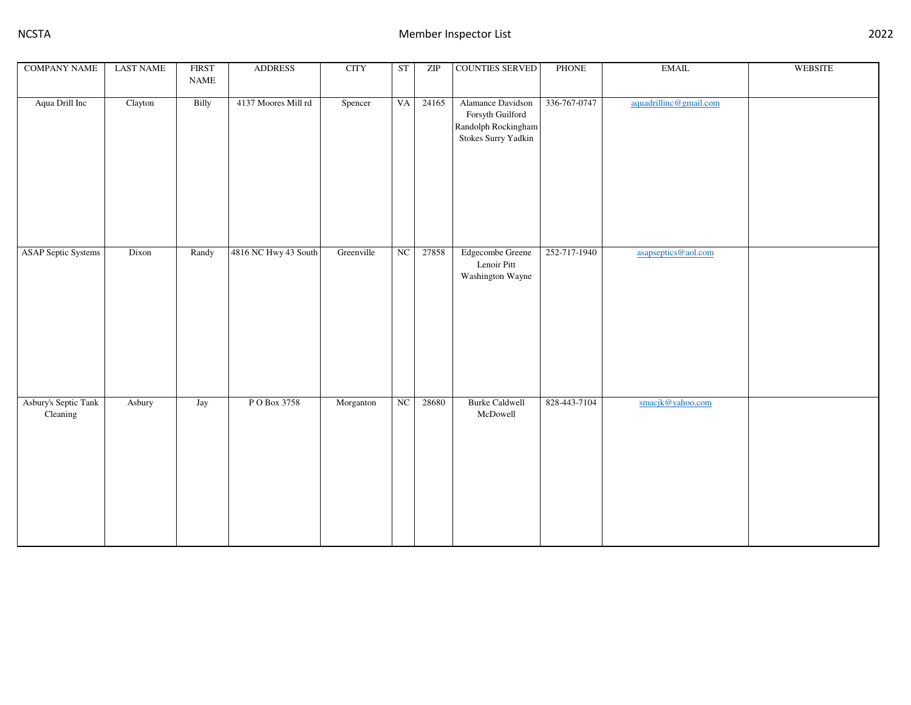| <b>COMPANY NAME</b>              | <b>LAST NAME</b> | <b>FIRST</b><br>$\ensuremath{\mathsf{NAME}}$ | <b>ADDRESS</b>       | <b>CITY</b> | <b>ST</b> | ZIP   | COUNTIES SERVED                                                                     | PHONE        | $\operatorname{EMAIL}$ | WEBSITE |
|----------------------------------|------------------|----------------------------------------------|----------------------|-------------|-----------|-------|-------------------------------------------------------------------------------------|--------------|------------------------|---------|
| Aqua Drill Inc                   | Clayton          | Billy                                        | 4137 Moores Mill rd  | Spencer     | <b>VA</b> | 24165 | Alamance Davidson<br>Forsyth Guilford<br>Randolph Rockingham<br>Stokes Surry Yadkin | 336-767-0747 | aquadrillinc@gmail.com |         |
| <b>ASAP Septic Systems</b>       | Dixon            | Randy                                        | 4816 NC Hwy 43 South | Greenville  | NC        | 27858 | Edgecombe Greene<br>Lenoir Pitt<br>Washington Wayne                                 | 252-717-1940 | asapseptics@aol.com    |         |
| Asbury's Septic Tank<br>Cleaning | Asbury           | Jay                                          | P O Box 3758         | Morganton   | $\rm NC$  | 28680 | <b>Burke Caldwell</b><br>McDowell                                                   | 828-443-7104 | smacjk@yahoo.com       |         |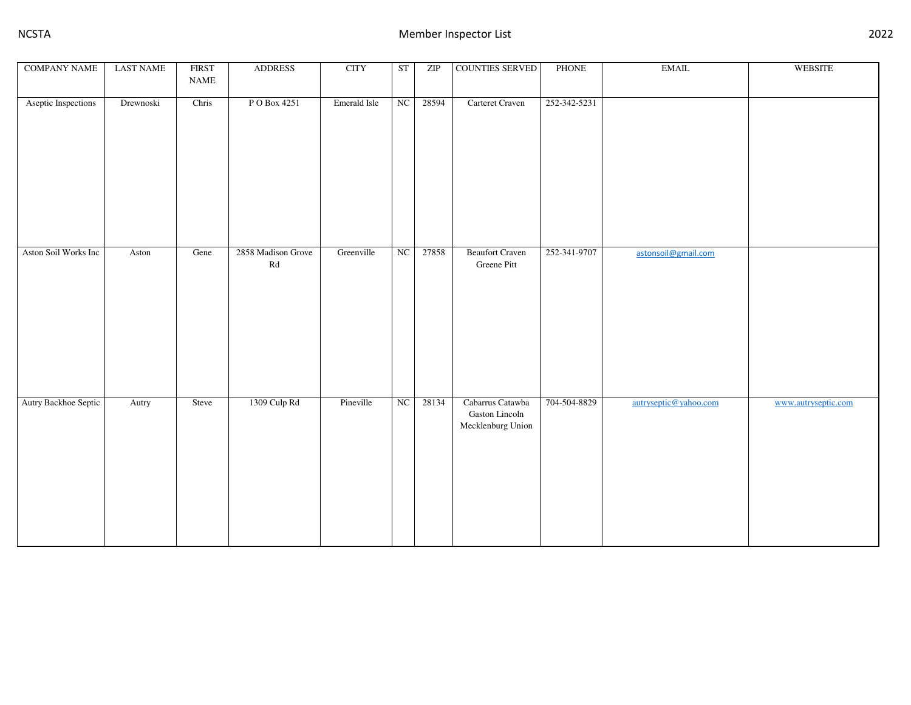| <b>COMPANY NAME</b>  | <b>LAST NAME</b> | <b>FIRST</b><br>$\ensuremath{\mathsf{NAME}}$ | <b>ADDRESS</b>             | <b>CITY</b>  | ST                     | ZIP   | COUNTIES SERVED                                         | PHONE        | $\operatorname{EMAIL}$ | <b>WEBSITE</b>      |
|----------------------|------------------|----------------------------------------------|----------------------------|--------------|------------------------|-------|---------------------------------------------------------|--------------|------------------------|---------------------|
|                      |                  |                                              |                            |              |                        |       |                                                         |              |                        |                     |
| Aseptic Inspections  | Drewnoski        | Chris                                        | PO Box 4251                | Emerald Isle | NC                     | 28594 | Carteret Craven                                         | 252-342-5231 |                        |                     |
| Aston Soil Works Inc | Aston            | Gene                                         | 2858 Madison Grove         | Greenville   | $\overline{\text{NC}}$ | 27858 | <b>Beaufort Craven</b>                                  | 252-341-9707 | astonsoil@gmail.com    |                     |
|                      |                  |                                              | $\mathop{\rm Rd}\nolimits$ |              |                        |       | Greene Pitt                                             |              |                        |                     |
| Autry Backhoe Septic | Autry            | Steve                                        | 1309 Culp Rd               | Pineville    | NC                     | 28134 | Cabarrus Catawba<br>Gaston Lincoln<br>Mecklenburg Union | 704-504-8829 | autryseptic@yahoo.com  | www.autryseptic.com |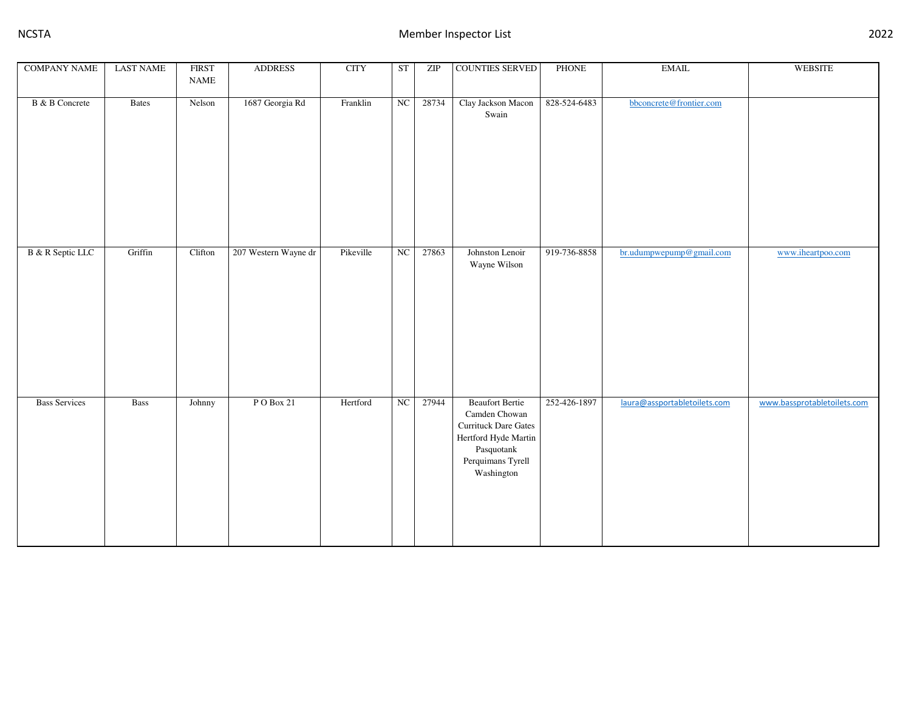| <b>COMPANY NAME</b>   | <b>LAST NAME</b> | <b>FIRST</b> | <b>ADDRESS</b>       | <b>CITY</b> | ST | ZIP   | <b>COUNTIES SERVED</b>                                                                                                                   | PHONE        | $\operatorname{EMAIL}$       | <b>WEBSITE</b>              |
|-----------------------|------------------|--------------|----------------------|-------------|----|-------|------------------------------------------------------------------------------------------------------------------------------------------|--------------|------------------------------|-----------------------------|
|                       |                  | <b>NAME</b>  |                      |             |    |       |                                                                                                                                          |              |                              |                             |
| <b>B</b> & B Concrete | <b>Bates</b>     | Nelson       | 1687 Georgia Rd      | Franklin    | NC | 28734 | Clay Jackson Macon<br>Swain                                                                                                              | 828-524-6483 | bbconcrete@frontier.com      |                             |
| B & R Septic LLC      | Griffin          | Clifton      | 207 Western Wayne dr | Pikeville   | NC | 27863 | Johnston Lenoir<br>Wayne Wilson                                                                                                          | 919-736-8858 | br.udumpwepump@gmail.com     | www.iheartpoo.com           |
| <b>Bass Services</b>  | <b>Bass</b>      | Johnny       | PO Box 21            | Hertford    | NC | 27944 | <b>Beaufort Bertie</b><br>Camden Chowan<br>Currituck Dare Gates<br>Hertford Hyde Martin<br>Pasquotank<br>Perquimans Tyrell<br>Washington | 252-426-1897 | laura@assportabletoilets.com | www.bassprotabletoilets.com |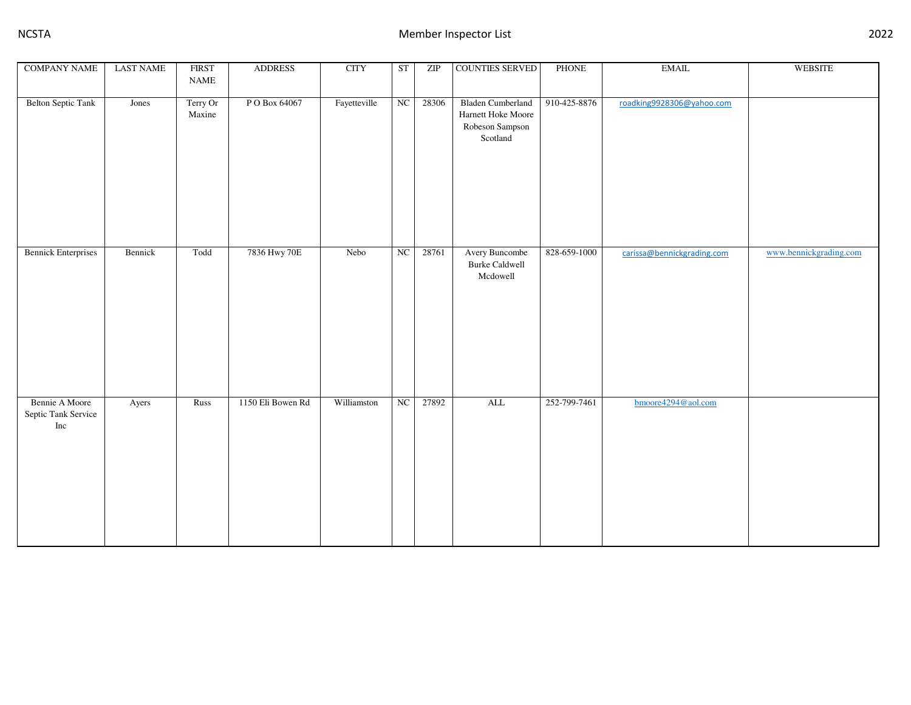| <b>COMPANY NAME</b>                          | <b>LAST NAME</b> | <b>FIRST</b><br>$\ensuremath{\mathsf{NAME}}$ | <b>ADDRESS</b>    | <b>CITY</b>  | ST | ZIP   | <b>COUNTIES SERVED</b>                                                        | PHONE        | $\operatorname{EMAIL}$     | WEBSITE                |
|----------------------------------------------|------------------|----------------------------------------------|-------------------|--------------|----|-------|-------------------------------------------------------------------------------|--------------|----------------------------|------------------------|
| <b>Belton Septic Tank</b>                    | Jones            | Terry Or<br>Maxine                           | P O Box 64067     | Fayetteville | NC | 28306 | <b>Bladen Cumberland</b><br>Harnett Hoke Moore<br>Robeson Sampson<br>Scotland | 910-425-8876 | roadking9928306@yahoo.com  |                        |
| <b>Bennick Enterprises</b>                   | Bennick          | Todd                                         | 7836 Hwy 70E      | Nebo         | NC | 28761 | Avery Buncombe<br><b>Burke Caldwell</b><br>Mcdowell                           | 828-659-1000 | carissa@bennickgrading.com | www.bennickgrading.com |
| Bennie A Moore<br>Septic Tank Service<br>Inc | Ayers            | Russ                                         | 1150 Eli Bowen Rd | Williamston  | NC | 27892 | $\mbox{ALL}$                                                                  | 252-799-7461 | bmoore4294@aol.com         |                        |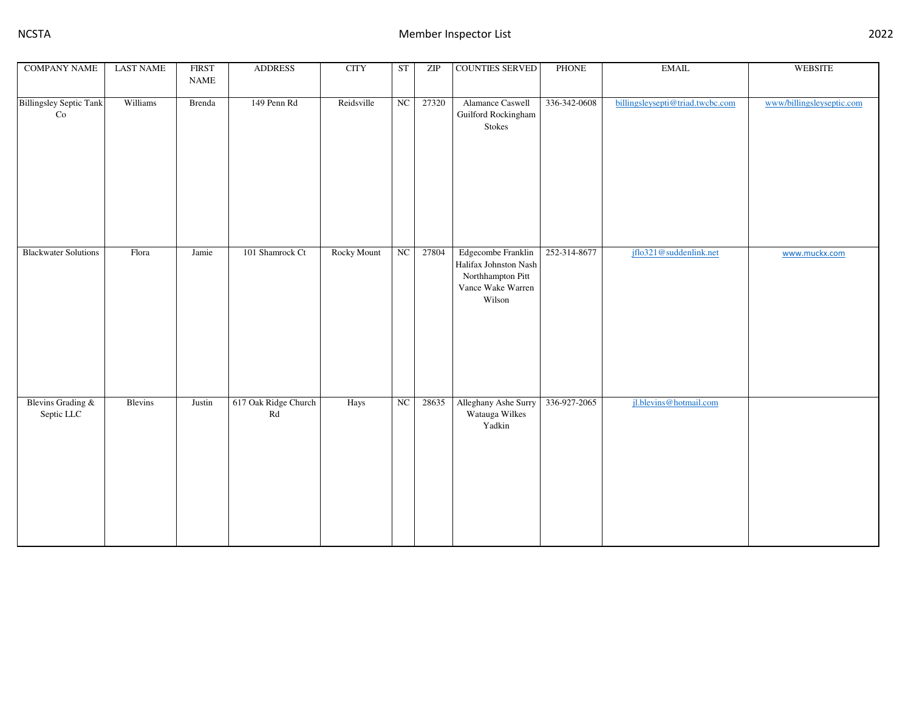| <b>COMPANY NAME</b>             | <b>LAST NAME</b> | <b>FIRST</b><br><b>NAME</b> | <b>ADDRESS</b>             | <b>CITY</b> | ST | ZIP   | <b>COUNTIES SERVED</b>                                                                          | PHONE        | $\operatorname{EMAIL}$           | <b>WEBSITE</b>            |
|---------------------------------|------------------|-----------------------------|----------------------------|-------------|----|-------|-------------------------------------------------------------------------------------------------|--------------|----------------------------------|---------------------------|
| <b>Billingsley Septic Tank</b>  | Williams         | Brenda                      | 149 Penn Rd                | Reidsville  | NC | 27320 | Alamance Caswell                                                                                | 336-342-0608 | billingsleysepti@triad.twcbc.com | www/billingsleyseptic.com |
| Co                              |                  |                             |                            |             |    |       | Guilford Rockingham<br>Stokes                                                                   |              |                                  |                           |
| <b>Blackwater Solutions</b>     | Flora            | Jamie                       | 101 Shamrock Ct            | Rocky Mount | NC | 27804 | Edgecombe Franklin<br>Halifax Johnston Nash<br>Northhampton Pitt<br>Vance Wake Warren<br>Wilson | 252-314-8677 | jflo321@suddenlink.net           | www.muckx.com             |
| Blevins Grading &<br>Septic LLC | Blevins          | $\it Justin$                | 617 Oak Ridge Church<br>Rd | Hays        | NC | 28635 | Alleghany Ashe Surry<br>Watauga Wilkes<br>Yadkin                                                | 336-927-2065 | jl.blevins@hotmail.com           |                           |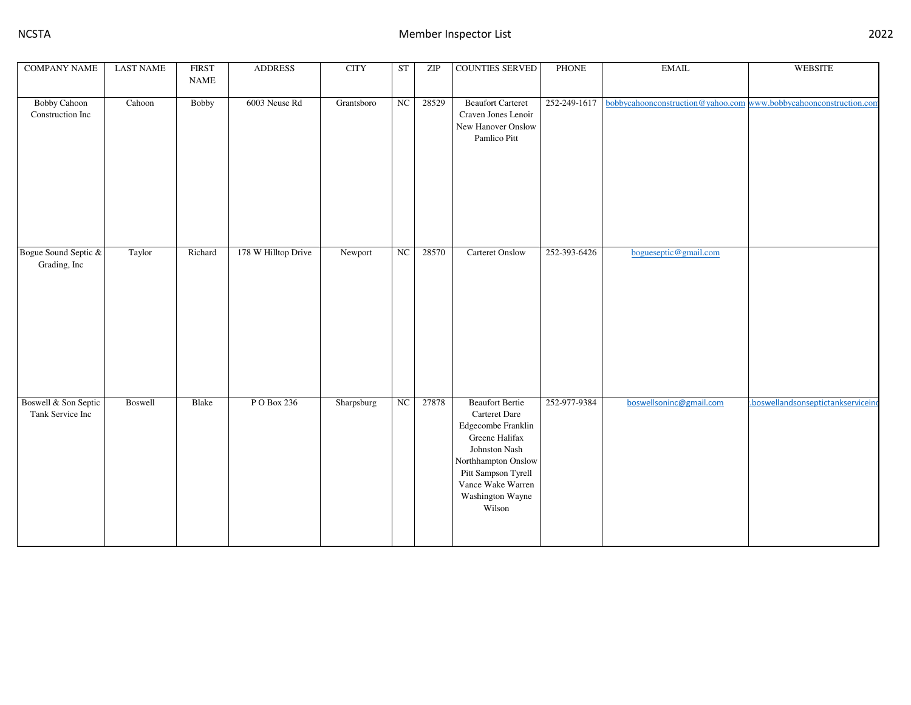| <b>COMPANY NAME</b>                      | <b>LAST NAME</b> | <b>FIRST</b><br><b>NAME</b> | <b>ADDRESS</b>      | <b>CITY</b> | ST | ZIP   | <b>COUNTIES SERVED</b>                                                                                                                                                                            | <b>PHONE</b> | <b>EMAIL</b>                                                      | <b>WEBSITE</b>                   |
|------------------------------------------|------------------|-----------------------------|---------------------|-------------|----|-------|---------------------------------------------------------------------------------------------------------------------------------------------------------------------------------------------------|--------------|-------------------------------------------------------------------|----------------------------------|
| <b>Bobby Cahoon</b><br>Construction Inc  | Cahoon           | Bobby                       | 6003 Neuse Rd       | Grantsboro  | NC | 28529 | <b>Beaufort Carteret</b><br>Craven Jones Lenoir<br>New Hanover Onslow<br>Pamlico Pitt                                                                                                             | 252-249-1617 | bobbycahoonconstruction@yahoo.com www.bobbycahoonconstruction.com |                                  |
| Bogue Sound Septic &<br>Grading, Inc     | Taylor           | Richard                     | 178 W Hilltop Drive | Newport     | NC | 28570 | <b>Carteret Onslow</b>                                                                                                                                                                            | 252-393-6426 | bogueseptic@gmail.com                                             |                                  |
| Boswell & Son Septic<br>Tank Service Inc | Boswell          | Blake                       | P O Box 236         | Sharpsburg  | NC | 27878 | <b>Beaufort Bertie</b><br>Carteret Dare<br>Edgecombe Franklin<br>Greene Halifax<br>Johnston Nash<br>Northhampton Onslow<br>Pitt Sampson Tyrell<br>Vance Wake Warren<br>Washington Wayne<br>Wilson | 252-977-9384 | boswellsoninc@gmail.com                                           | boswellandsonseptictankservicein |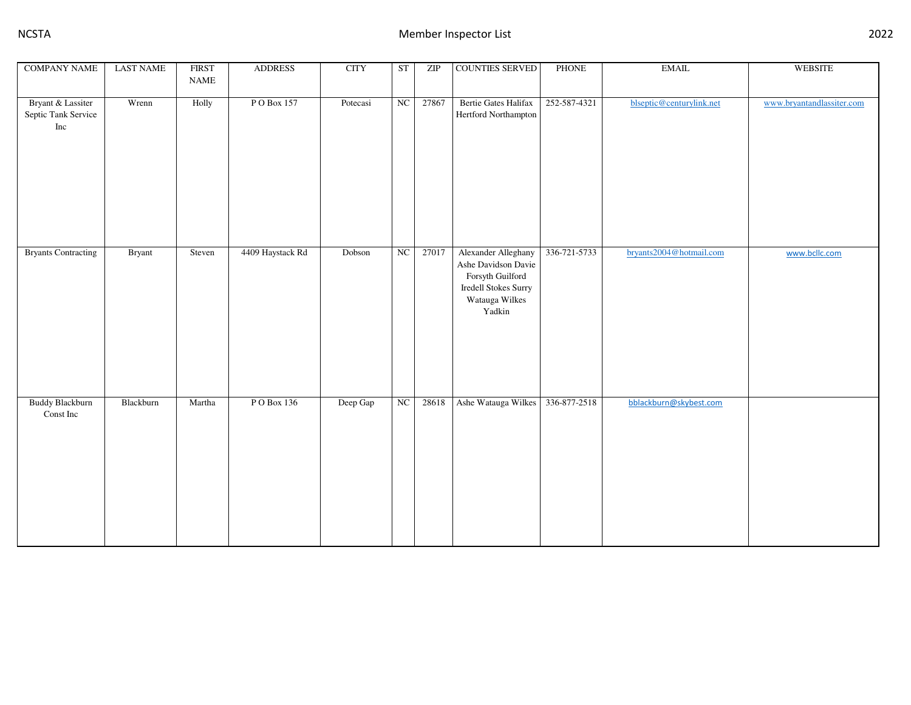| <b>COMPANY NAME</b>                             | <b>LAST NAME</b> | <b>FIRST</b><br>$\ensuremath{\mathsf{NAME}}$ | <b>ADDRESS</b>   | <b>CITY</b> | <b>ST</b> | ZIP   | <b>COUNTIES SERVED</b>                                                                                             | PHONE        | $\operatorname{EMAIL}$   | <b>WEBSITE</b>            |
|-------------------------------------------------|------------------|----------------------------------------------|------------------|-------------|-----------|-------|--------------------------------------------------------------------------------------------------------------------|--------------|--------------------------|---------------------------|
|                                                 |                  |                                              |                  |             |           |       |                                                                                                                    |              |                          |                           |
| Bryant & Lassiter<br>Septic Tank Service<br>Inc | Wrenn            | Holly                                        | PO Box 157       | Potecasi    | NC        | 27867 | <b>Bertie Gates Halifax</b><br>Hertford Northampton                                                                | 252-587-4321 | blseptic@centurylink.net | www.bryantandlassiter.com |
| <b>Bryants Contracting</b>                      | <b>Bryant</b>    | Steven                                       | 4409 Haystack Rd | Dobson      | NC        | 27017 | Alexander Alleghany<br>Ashe Davidson Davie<br>Forsyth Guilford<br>Iredell Stokes Surry<br>Watauga Wilkes<br>Yadkin | 336-721-5733 | bryants2004@hotmail.com  | www.bcllc.com             |
| <b>Buddy Blackburn</b><br>Const Inc             | Blackburn        | Martha                                       | PO Box 136       | Deep Gap    | $\rm NC$  | 28618 | Ashe Watauga Wilkes                                                                                                | 336-877-2518 | bblackburn@skybest.com   |                           |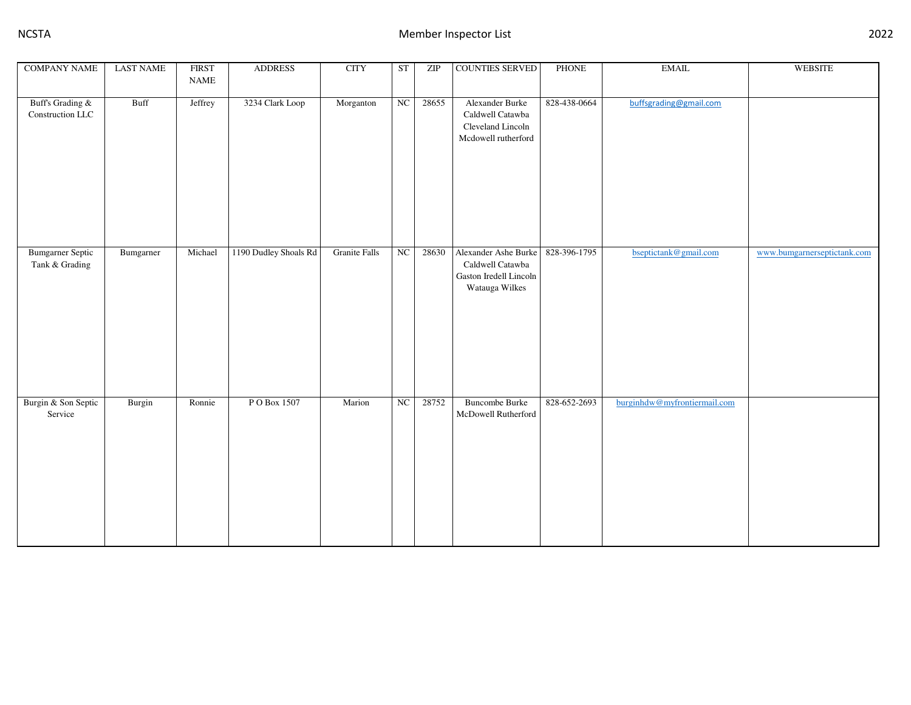| <b>COMPANY NAME</b>                       | <b>LAST NAME</b> | <b>FIRST</b><br>$\ensuremath{\mathsf{NAME}}$ | <b>ADDRESS</b>        | <b>CITY</b>          | <b>ST</b>              | ZIP   | <b>COUNTIES SERVED</b>                                                               | PHONE        | <b>EMAIL</b>                 | <b>WEBSITE</b>              |
|-------------------------------------------|------------------|----------------------------------------------|-----------------------|----------------------|------------------------|-------|--------------------------------------------------------------------------------------|--------------|------------------------------|-----------------------------|
|                                           |                  |                                              |                       |                      |                        |       |                                                                                      |              |                              |                             |
| Buff's Grading &<br>Construction LLC      | Buff             | Jeffrey                                      | 3234 Clark Loop       | Morganton            | $\overline{\text{NC}}$ | 28655 | Alexander Burke<br>Caldwell Catawba<br>Cleveland Lincoln<br>Mcdowell rutherford      | 828-438-0664 | buffsgrading@gmail.com       |                             |
| <b>Bumgarner Septic</b><br>Tank & Grading | Bumgarner        | Michael                                      | 1190 Dudley Shoals Rd | <b>Granite Falls</b> | NC                     | 28630 | Alexander Ashe Burke<br>Caldwell Catawba<br>Gaston Iredell Lincoln<br>Watauga Wilkes | 828-396-1795 | bseptictank@gmail.com        | www.bumgarnerseptictank.com |
| Burgin & Son Septic<br>Service            | Burgin           | Ronnie                                       | PO Box 1507           | Marion               | ${\rm NC}$             | 28752 | <b>Buncombe Burke</b><br>McDowell Rutherford                                         | 828-652-2693 | burginhdw@myfrontiermail.com |                             |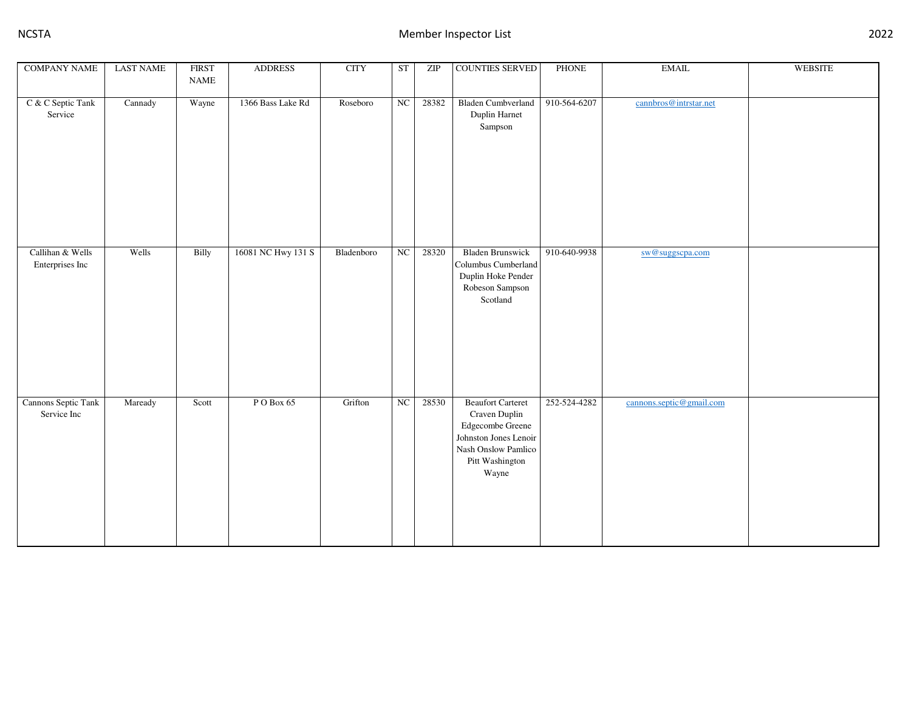| <b>COMPANY NAME</b>                 | <b>LAST NAME</b> | <b>FIRST</b><br><b>NAME</b> | <b>ADDRESS</b>     | <b>CITY</b> | <b>ST</b>   | ZIP   | <b>COUNTIES SERVED</b>                                                                                                                    | <b>PHONE</b> | $\operatorname{EMAIL}$   | <b>WEBSITE</b> |
|-------------------------------------|------------------|-----------------------------|--------------------|-------------|-------------|-------|-------------------------------------------------------------------------------------------------------------------------------------------|--------------|--------------------------|----------------|
| C & C Septic Tank<br>Service        | Cannady          | Wayne                       | 1366 Bass Lake Rd  | Roseboro    | NC          | 28382 | <b>Bladen Cumbverland</b><br>Duplin Harnet<br>Sampson                                                                                     | 910-564-6207 | cannbros@intrstar.net    |                |
| Callihan & Wells<br>Enterprises Inc | Wells            | Billy                       | 16081 NC Hwy 131 S | Bladenboro  | NC          | 28320 | <b>Bladen Brunswick</b><br>Columbus Cumberland<br>Duplin Hoke Pender<br>Robeson Sampson<br>Scotland                                       | 910-640-9938 | sw@suggscpa.com          |                |
| Cannons Septic Tank<br>Service Inc  | Maready          | Scott                       | PO Box 65          | Grifton     | $_{\rm NC}$ | 28530 | <b>Beaufort Carteret</b><br>Craven Duplin<br>Edgecombe Greene<br>Johnston Jones Lenoir<br>Nash Onslow Pamlico<br>Pitt Washington<br>Wayne | 252-524-4282 | cannons.septic@gmail.com |                |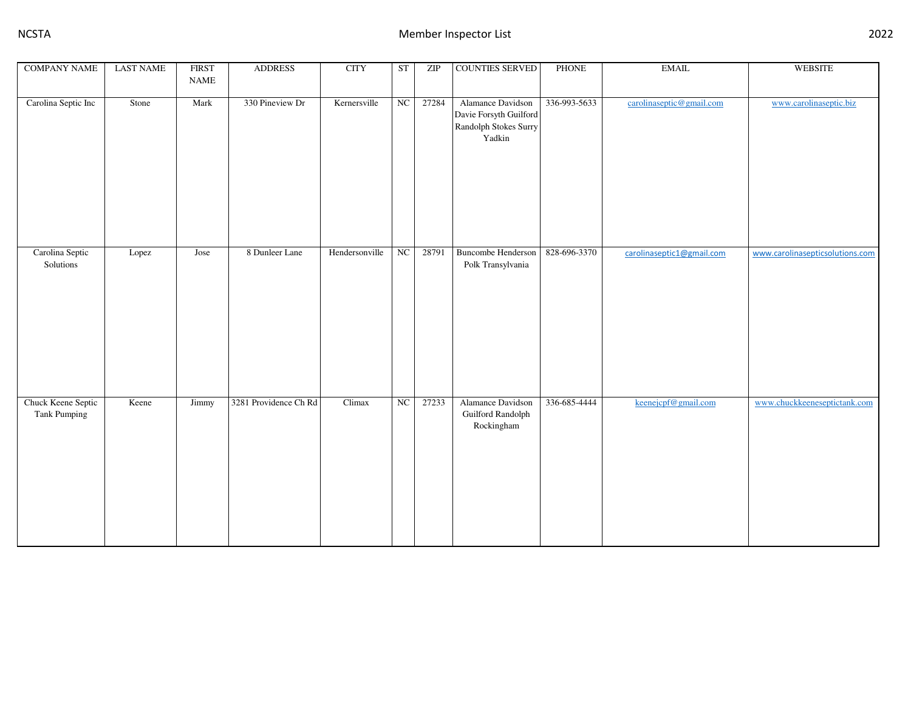| <b>COMPANY NAME</b>                       | <b>LAST NAME</b> | <b>FIRST</b> | <b>ADDRESS</b>        | <b>CITY</b>    | ST       | ZIP   | <b>COUNTIES SERVED</b>                                                         | PHONE        | $\operatorname{EMAIL}$    | <b>WEBSITE</b>                  |
|-------------------------------------------|------------------|--------------|-----------------------|----------------|----------|-------|--------------------------------------------------------------------------------|--------------|---------------------------|---------------------------------|
|                                           |                  | <b>NAME</b>  |                       |                |          |       |                                                                                |              |                           |                                 |
| Carolina Septic Inc                       | Stone            | Mark         | 330 Pineview Dr       | Kernersville   | NC       | 27284 | Alamance Davidson<br>Davie Forsyth Guilford<br>Randolph Stokes Surry<br>Yadkin | 336-993-5633 | carolinaseptic@gmail.com  | www.carolinaseptic.biz          |
| Carolina Septic<br>Solutions              | Lopez            | Jose         | 8 Dunleer Lane        | Hendersonville | NC       | 28791 | <b>Buncombe Henderson</b><br>Polk Transylvania                                 | 828-696-3370 | carolinaseptic1@gmail.com | www.carolinasepticsolutions.com |
| Chuck Keene Septic<br><b>Tank Pumping</b> | Keene            | Jimmy        | 3281 Providence Ch Rd | Climax         | $\rm NC$ | 27233 | Alamance Davidson<br>Guilford Randolph<br>Rockingham                           | 336-685-4444 | keenejcpf@gmail.com       | www.chuckkeeneseptictank.com    |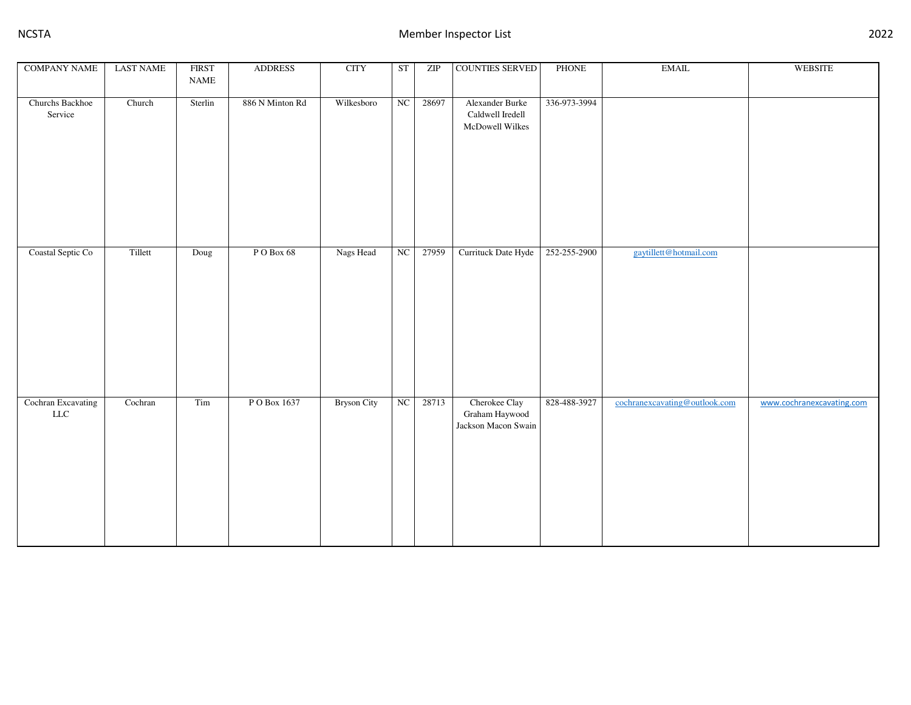| <b>COMPANY NAME</b>               | <b>LAST NAME</b> | <b>FIRST</b><br>$\ensuremath{\mathsf{NAME}}$ | <b>ADDRESS</b>  | <b>CITY</b>        | <b>ST</b>  | ZIP   | COUNTIES SERVED                                        | <b>PHONE</b> | $\operatorname{EMAIL}$        | <b>WEBSITE</b>            |
|-----------------------------------|------------------|----------------------------------------------|-----------------|--------------------|------------|-------|--------------------------------------------------------|--------------|-------------------------------|---------------------------|
| Churchs Backhoe<br>Service        | Church           | Sterlin                                      | 886 N Minton Rd | Wilkesboro         | NC         | 28697 | Alexander Burke<br>Caldwell Iredell<br>McDowell Wilkes | 336-973-3994 |                               |                           |
| Coastal Septic Co                 | Tillett          | Doug                                         | PO Box 68       | Nags Head          | NC         | 27959 | Currituck Date Hyde                                    | 252-255-2900 | gaytillett@hotmail.com        |                           |
| Cochran Excavating<br>${\rm LLC}$ | Cochran          | $\rm Tim$                                    | P O Box 1637    | <b>Bryson City</b> | ${\rm NC}$ | 28713 | Cherokee Clay<br>Graham Haywood<br>Jackson Macon Swain | 828-488-3927 | cochranexcavating@outlook.com | www.cochranexcavating.com |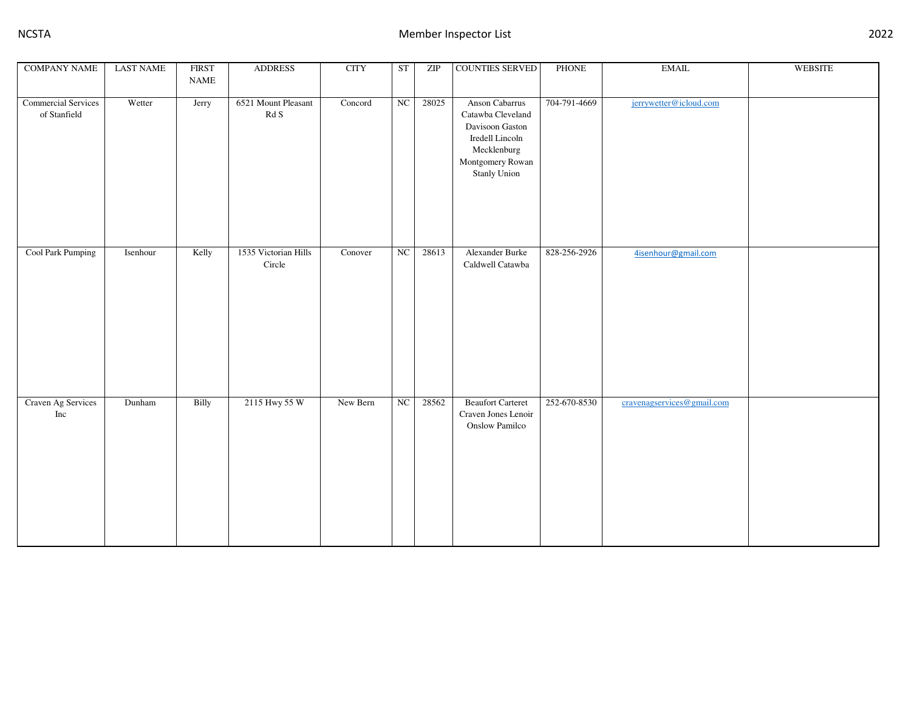| <b>COMPANY NAME</b>                        | <b>LAST NAME</b> | <b>FIRST</b><br><b>NAME</b> | <b>ADDRESS</b>                                      | <b>CITY</b> | <b>ST</b>  | ZIP   | COUNTIES SERVED                                                                                                                     | <b>PHONE</b> | $\operatorname{EMAIL}$     | <b>WEBSITE</b> |
|--------------------------------------------|------------------|-----------------------------|-----------------------------------------------------|-------------|------------|-------|-------------------------------------------------------------------------------------------------------------------------------------|--------------|----------------------------|----------------|
| <b>Commercial Services</b><br>of Stanfield | Wetter           | Jerry                       | 6521 Mount Pleasant<br>$\mathop{\rm Rd}\nolimits S$ | Concord     | NC         | 28025 | Anson Cabarrus<br>Catawba Cleveland<br>Davisoon Gaston<br>Iredell Lincoln<br>Mecklenburg<br>Montgomery Rowan<br><b>Stanly Union</b> | 704-791-4669 | jerrywetter@icloud.com     |                |
| Cool Park Pumping                          | Isenhour         | Kelly                       | 1535 Victorian Hills<br>Circle                      | Conover     | NC         | 28613 | Alexander Burke<br>Caldwell Catawba                                                                                                 | 828-256-2926 | 4isenhour@gmail.com        |                |
| Craven Ag Services<br>Inc                  | Dunham           | Billy                       | 2115 Hwy 55 W                                       | New Bern    | ${\rm NC}$ | 28562 | <b>Beaufort Carteret</b><br>Craven Jones Lenoir<br><b>Onslow Pamilco</b>                                                            | 252-670-8530 | cravenagservices@gmail.com |                |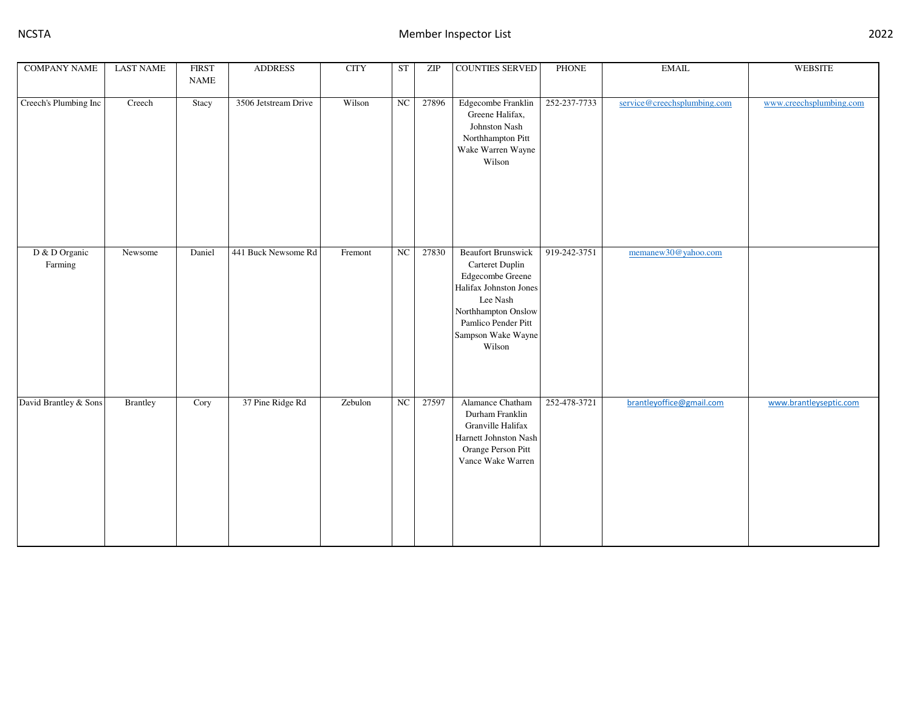| <b>COMPANY NAME</b>      | <b>LAST NAME</b> | <b>FIRST</b><br><b>NAME</b> | <b>ADDRESS</b>       | <b>CITY</b> | <b>ST</b>        | ZIP   | <b>COUNTIES SERVED</b>                                                                                                                                                               | PHONE        | <b>EMAIL</b>                | <b>WEBSITE</b>          |
|--------------------------|------------------|-----------------------------|----------------------|-------------|------------------|-------|--------------------------------------------------------------------------------------------------------------------------------------------------------------------------------------|--------------|-----------------------------|-------------------------|
|                          |                  |                             |                      |             |                  |       |                                                                                                                                                                                      |              |                             |                         |
| Creech's Plumbing Inc    | Creech           | Stacy                       | 3506 Jetstream Drive | Wilson      | NC               | 27896 | Edgecombe Franklin<br>Greene Halifax,<br>Johnston Nash<br>Northhampton Pitt<br>Wake Warren Wayne<br>Wilson                                                                           | 252-237-7733 | service@creechsplumbing.com | www.creechsplumbing.com |
| D & D Organic<br>Farming | Newsome          | Daniel                      | 441 Buck Newsome Rd  | Fremont     | $_{\mathrm{NC}}$ | 27830 | <b>Beaufort Brunswick</b><br>Carteret Duplin<br>Edgecombe Greene<br>Halifax Johnston Jones<br>Lee Nash<br>Northhampton Onslow<br>Pamlico Pender Pitt<br>Sampson Wake Wayne<br>Wilson | 919-242-3751 | memanew30@yahoo.com         |                         |
| David Brantley & Sons    | <b>Brantley</b>  | Cory                        | 37 Pine Ridge Rd     | Zebulon     | $_{\rm NC}$      | 27597 | Alamance Chatham<br>Durham Franklin<br>Granville Halifax<br>Harnett Johnston Nash<br>Orange Person Pitt<br>Vance Wake Warren                                                         | 252-478-3721 | brantleyoffice@gmail.com    | www.brantleyseptic.com  |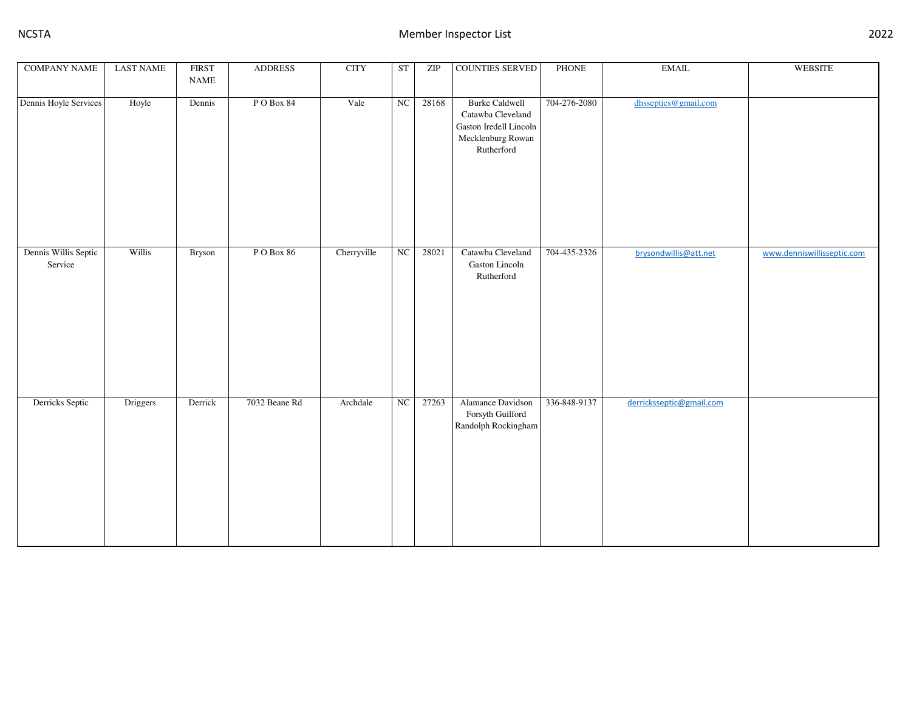| <b>COMPANY NAME</b>             | <b>LAST NAME</b> | <b>FIRST</b><br>$\ensuremath{\mathsf{NAME}}$ | <b>ADDRESS</b> | <b>CITY</b> | ST         | ZIP   | COUNTIES SERVED                                                                                         | PHONE        | $\operatorname{EMAIL}$   | <b>WEBSITE</b>             |
|---------------------------------|------------------|----------------------------------------------|----------------|-------------|------------|-------|---------------------------------------------------------------------------------------------------------|--------------|--------------------------|----------------------------|
| Dennis Hoyle Services           | Hoyle            | Dennis                                       | PO Box 84      | Vale        | NC         | 28168 | <b>Burke Caldwell</b><br>Catawba Cleveland<br>Gaston Iredell Lincoln<br>Mecklenburg Rowan<br>Rutherford | 704-276-2080 | dhsseptics@gmail.com     |                            |
| Dennis Willis Septic<br>Service | Willis           | Bryson                                       | PO Box 86      | Cherryville | NC         | 28021 | Catawba Cleveland<br>Gaston Lincoln<br>Rutherford                                                       | 704-435-2326 | brysondwillis@att.net    | www.denniswillisseptic.com |
| Derricks Septic                 | Driggers         | Derrick                                      | 7032 Beane Rd  | Archdale    | ${\rm NC}$ | 27263 | Alamance Davidson<br>Forsyth Guilford<br>Randolph Rockingham                                            | 336-848-9137 | derricksseptic@gmail.com |                            |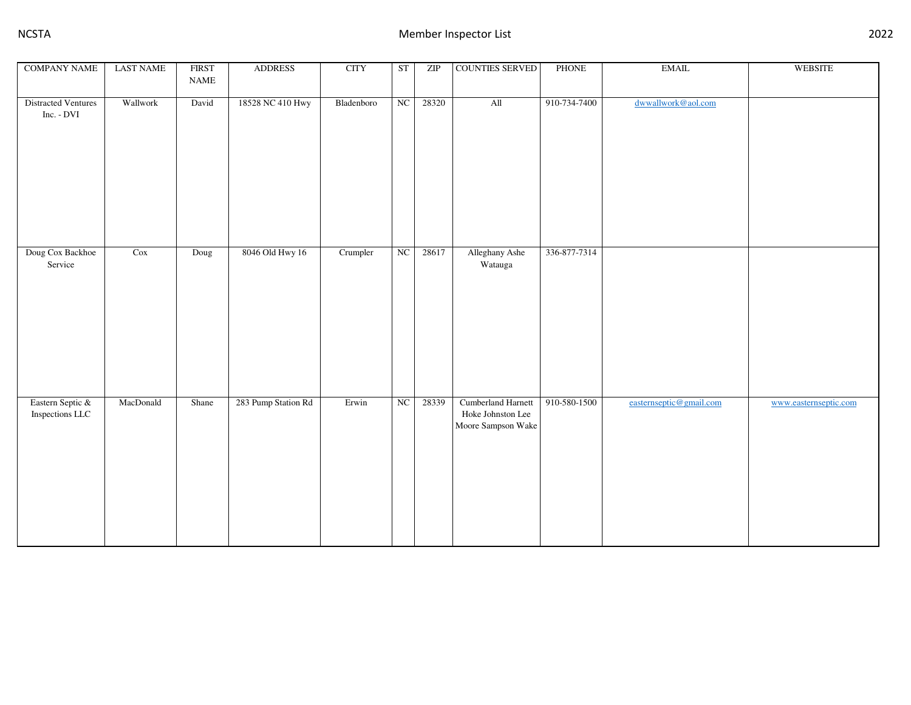| <b>COMPANY NAME</b>                      | <b>LAST NAME</b> | <b>FIRST</b><br>$\ensuremath{\mathsf{NAME}}$ | <b>ADDRESS</b>      | <b>CITY</b>            | ST          | ZIP   | COUNTIES SERVED                                               | PHONE        | $\operatorname{EMAIL}$  | WEBSITE               |
|------------------------------------------|------------------|----------------------------------------------|---------------------|------------------------|-------------|-------|---------------------------------------------------------------|--------------|-------------------------|-----------------------|
| <b>Distracted Ventures</b><br>Inc. - DVI | Wallwork         | David                                        | 18528 NC 410 Hwy    | Bladenboro             | NC          | 28320 | All                                                           | 910-734-7400 | dwwallwork@aol.com      |                       |
| Doug Cox Backhoe<br>Service              | Cox              | Doug                                         | 8046 Old Hwy 16     | Crumpler               | NC          | 28617 | Alleghany Ashe<br>Watauga                                     | 336-877-7314 |                         |                       |
| Eastern Septic &<br>Inspections LLC      | MacDonald        | Shane                                        | 283 Pump Station Rd | $\operatorname{Erwin}$ | $_{\rm NC}$ | 28339 | Cumberland Harnett<br>Hoke Johnston Lee<br>Moore Sampson Wake | 910-580-1500 | easternseptic@gmail.com | www.easternseptic.com |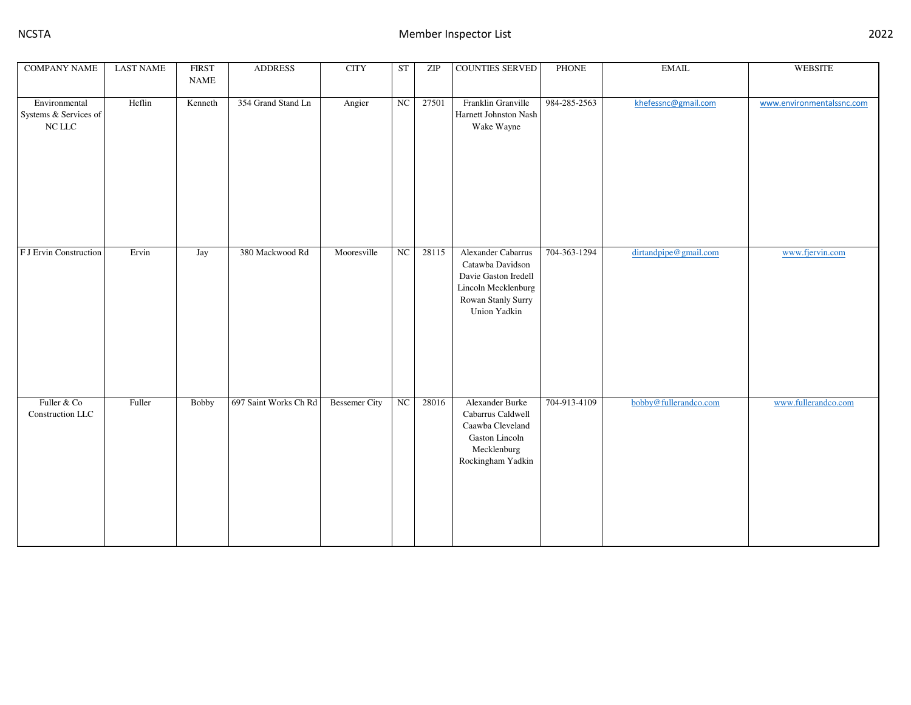| <b>COMPANY NAME</b>                                    | <b>LAST NAME</b> | <b>FIRST</b><br><b>NAME</b> | <b>ADDRESS</b>        | <b>CITY</b>          | <b>ST</b>  | ZIP   | <b>COUNTIES SERVED</b>                                                                                                      | PHONE        | <b>EMAIL</b>          | <b>WEBSITE</b>            |
|--------------------------------------------------------|------------------|-----------------------------|-----------------------|----------------------|------------|-------|-----------------------------------------------------------------------------------------------------------------------------|--------------|-----------------------|---------------------------|
| Environmental<br>Systems & Services of<br>$\rm NC$ LLC | Heflin           | Kenneth                     | 354 Grand Stand Ln    | Angier               | NC         | 27501 | Franklin Granville<br>Harnett Johnston Nash<br>Wake Wayne                                                                   | 984-285-2563 | khefessnc@gmail.com   | www.environmentalssnc.com |
| F J Ervin Construction                                 | Ervin            | Jay                         | 380 Mackwood Rd       | Mooresville          | NC         | 28115 | Alexander Cabarrus<br>Catawba Davidson<br>Davie Gaston Iredell<br>Lincoln Mecklenburg<br>Rowan Stanly Surry<br>Union Yadkin | 704-363-1294 | dirtandpipe@gmail.com | www.fjervin.com           |
| Fuller & Co<br>Construction LLC                        | Fuller           | <b>Bobby</b>                | 697 Saint Works Ch Rd | <b>Bessemer City</b> | ${\rm NC}$ | 28016 | Alexander Burke<br>Cabarrus Caldwell<br>Caawba Cleveland<br>Gaston Lincoln<br>Mecklenburg<br>Rockingham Yadkin              | 704-913-4109 | bobby@fullerandco.com | www.fullerandco.com       |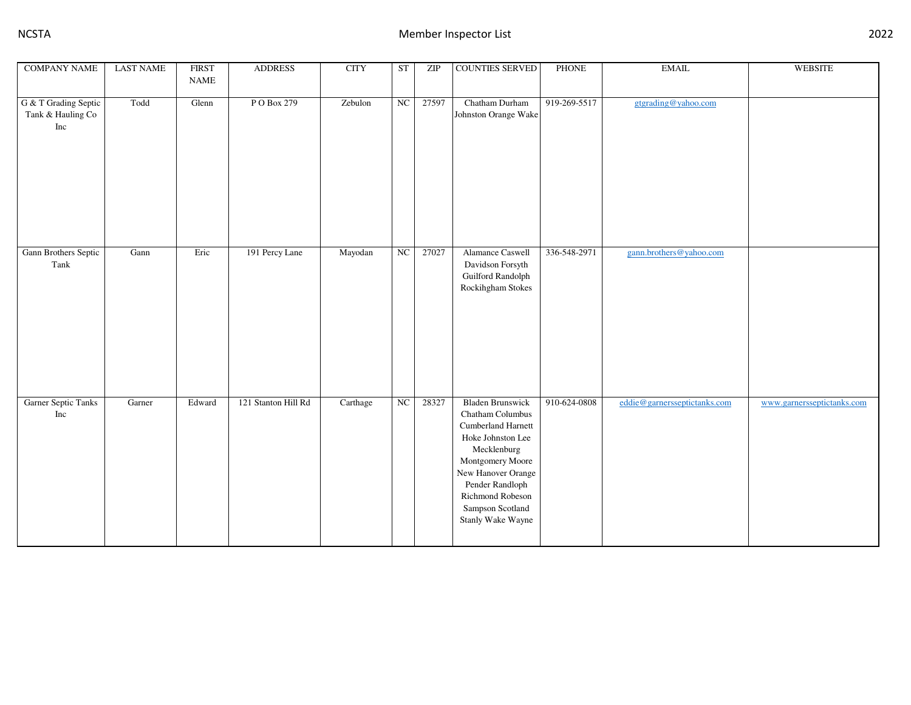| <b>COMPANY NAME</b>                              | <b>LAST NAME</b> | <b>FIRST</b><br><b>NAME</b> | <b>ADDRESS</b>      | <b>CITY</b> | <b>ST</b> | $\overline{\text{ZIP}}$ | <b>COUNTIES SERVED</b>                                                                                                                                                                                                          | <b>PHONE</b> | $\operatorname{EMAIL}$       | <b>WEBSITE</b>             |
|--------------------------------------------------|------------------|-----------------------------|---------------------|-------------|-----------|-------------------------|---------------------------------------------------------------------------------------------------------------------------------------------------------------------------------------------------------------------------------|--------------|------------------------------|----------------------------|
| G & T Grading Septic<br>Tank & Hauling Co<br>Inc | Todd             | Glenn                       | P O Box 279         | Zebulon     | NC        | 27597                   | Chatham Durham<br>Johnston Orange Wake                                                                                                                                                                                          | 919-269-5517 | gtgrading@yahoo.com          |                            |
| Gann Brothers Septic<br>Tank                     | Gann             | Eric                        | 191 Percy Lane      | Mayodan     | NC        | 27027                   | Alamance Caswell<br>Davidson Forsyth<br>Guilford Randolph<br>Rockihgham Stokes                                                                                                                                                  | 336-548-2971 | gann.brothers@yahoo.com      |                            |
| Garner Septic Tanks<br>Inc                       | Garner           | Edward                      | 121 Stanton Hill Rd | Carthage    | NC        | 28327                   | <b>Bladen Brunswick</b><br>Chatham Columbus<br>Cumberland Harnett<br>Hoke Johnston Lee<br>Mecklenburg<br>Montgomery Moore<br>New Hanover Orange<br>Pender Randloph<br>Richmond Robeson<br>Sampson Scotland<br>Stanly Wake Wayne | 910-624-0808 | eddie@garnersseptictanks.com | www.garnersseptictanks.com |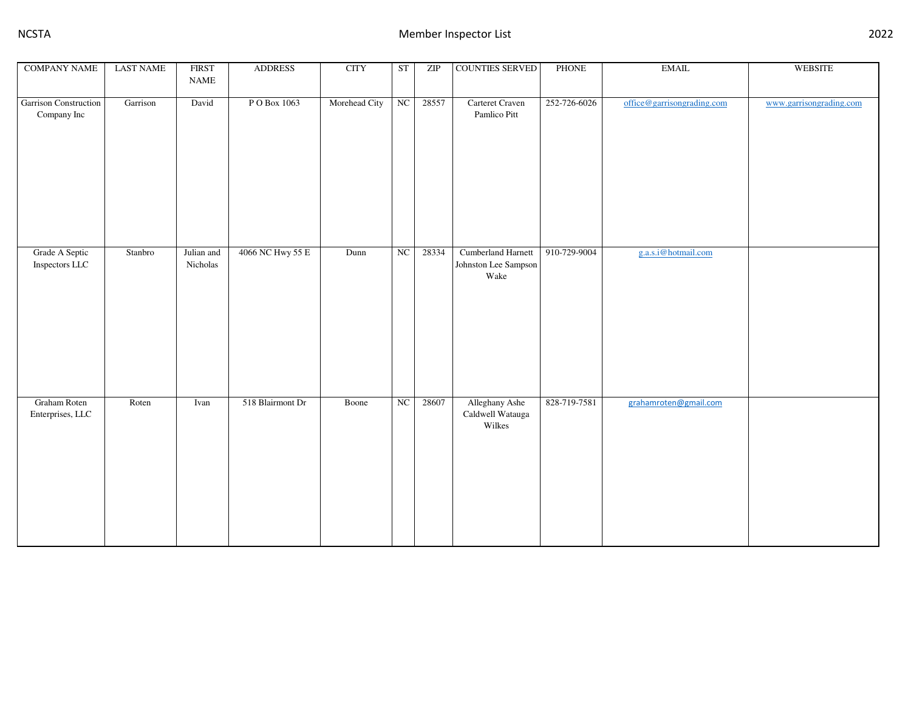| <b>COMPANY NAME</b>                         | <b>LAST NAME</b> | <b>FIRST</b>                 | <b>ADDRESS</b>   | <b>CITY</b>   | ST          | ZIP   | <b>COUNTIES SERVED</b>                             | PHONE        | $\operatorname{EMAIL}$     | WEBSITE                 |
|---------------------------------------------|------------------|------------------------------|------------------|---------------|-------------|-------|----------------------------------------------------|--------------|----------------------------|-------------------------|
|                                             |                  | $\ensuremath{\mathsf{NAME}}$ |                  |               |             |       |                                                    |              |                            |                         |
| <b>Garrison Construction</b><br>Company Inc | Garrison         | David                        | P O Box 1063     | Morehead City | NC          | 28557 | Carteret Craven<br>Pamlico Pitt                    | 252-726-6026 | office@garrisongrading.com | www.garrisongrading.com |
|                                             |                  |                              |                  |               |             |       |                                                    |              |                            |                         |
| Grade A Septic<br>Inspectors LLC            | Stanbro          | Julian and<br>Nicholas       | 4066 NC Hwy 55 E | Dunn          | $_{\rm NC}$ | 28334 | Cumberland Harnett<br>Johnston Lee Sampson<br>Wake | 910-729-9004 | g.a.s.i@hotmail.com        |                         |
| Graham Roten<br>Enterprises, LLC            | Roten            | Ivan                         | 518 Blairmont Dr | Boone         | $_{\rm NC}$ | 28607 | Alleghany Ashe<br>Caldwell Watauga<br>Wilkes       | 828-719-7581 | grahamroten@gmail.com      |                         |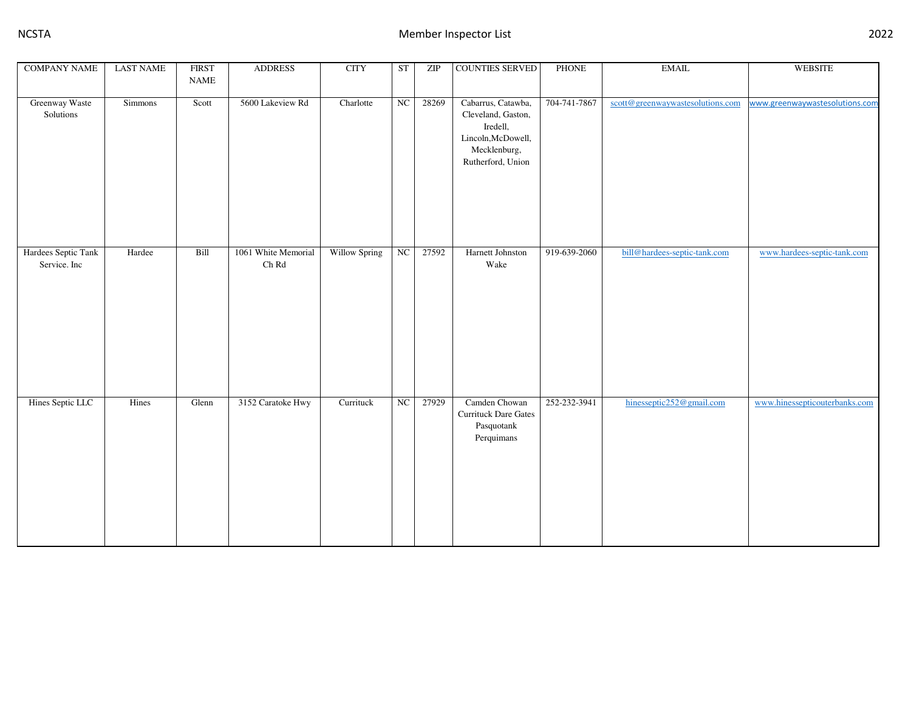| <b>COMPANY NAME</b>                 | <b>LAST NAME</b> | <b>FIRST</b> | <b>ADDRESS</b>               | <b>CITY</b>   | <b>ST</b>        | ZIP   | <b>COUNTIES SERVED</b>                                                                                          | PHONE        | $\operatorname{EMAIL}$           | <b>WEBSITE</b>                 |
|-------------------------------------|------------------|--------------|------------------------------|---------------|------------------|-------|-----------------------------------------------------------------------------------------------------------------|--------------|----------------------------------|--------------------------------|
|                                     |                  | <b>NAME</b>  |                              |               |                  |       |                                                                                                                 |              |                                  |                                |
| Greenway Waste<br>Solutions         | <b>Simmons</b>   | Scott        | 5600 Lakeview Rd             | Charlotte     | NC               | 28269 | Cabarrus, Catawba,<br>Cleveland, Gaston,<br>Iredell,<br>Lincoln, McDowell,<br>Mecklenburg,<br>Rutherford, Union | 704-741-7867 | scott@greenwaywastesolutions.com | www.greenwaywastesolutions.com |
| Hardees Septic Tank<br>Service. Inc | Hardee           | Bill         | 1061 White Memorial<br>Ch Rd | Willow Spring | $_{\mathrm{NC}}$ | 27592 | Harnett Johnston<br>Wake                                                                                        | 919-639-2060 | bill@hardees-septic-tank.com     | www.hardees-septic-tank.com    |
| Hines Septic LLC                    | Hines            | Glenn        | 3152 Caratoke Hwy            | Currituck     | NC               | 27929 | Camden Chowan<br><b>Currituck Dare Gates</b><br>Pasquotank<br>Perquimans                                        | 252-232-3941 | hinesseptic252@gmail.com         | www.hinessepticouterbanks.com  |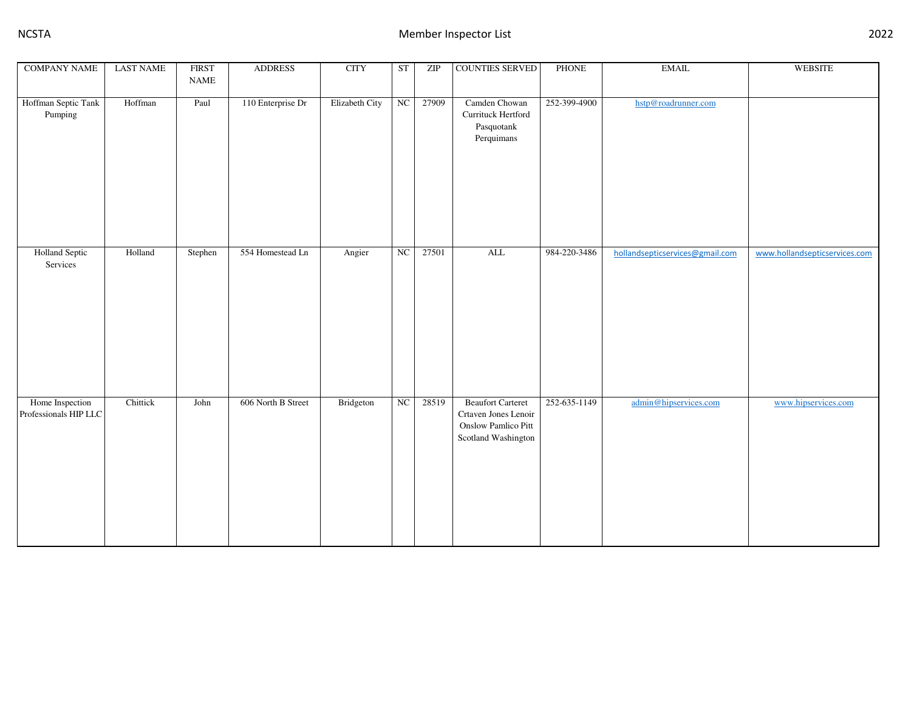| <b>COMPANY NAME</b>                      | <b>LAST NAME</b> | <b>FIRST</b><br>$\ensuremath{\mathsf{NAME}}$ | <b>ADDRESS</b>     | <b>CITY</b>    | ST         | ZIP   | <b>COUNTIES SERVED</b>                                                                         | PHONE        | $\operatorname{EMAIL}$          | <b>WEBSITE</b>                |
|------------------------------------------|------------------|----------------------------------------------|--------------------|----------------|------------|-------|------------------------------------------------------------------------------------------------|--------------|---------------------------------|-------------------------------|
| Hoffman Septic Tank<br>Pumping           | Hoffman          | Paul                                         | 110 Enterprise Dr  | Elizabeth City | NC         | 27909 | Camden Chowan<br>Currituck Hertford<br>Pasquotank<br>Perquimans                                | 252-399-4900 | hstp@roadrunner.com             |                               |
| <b>Holland Septic</b><br>Services        | Holland          | Stephen                                      | 554 Homestead Ln   | Angier         | NC         | 27501 | $\overline{\text{ALL}}$                                                                        | 984-220-3486 | hollandsepticservices@gmail.com | www.hollandsepticservices.com |
| Home Inspection<br>Professionals HIP LLC | Chittick         | John                                         | 606 North B Street | Bridgeton      | ${\rm NC}$ | 28519 | <b>Beaufort Carteret</b><br>Crtaven Jones Lenoir<br>Onslow Pamlico Pitt<br>Scotland Washington | 252-635-1149 | admin@hipservices.com           | www.hipservices.com           |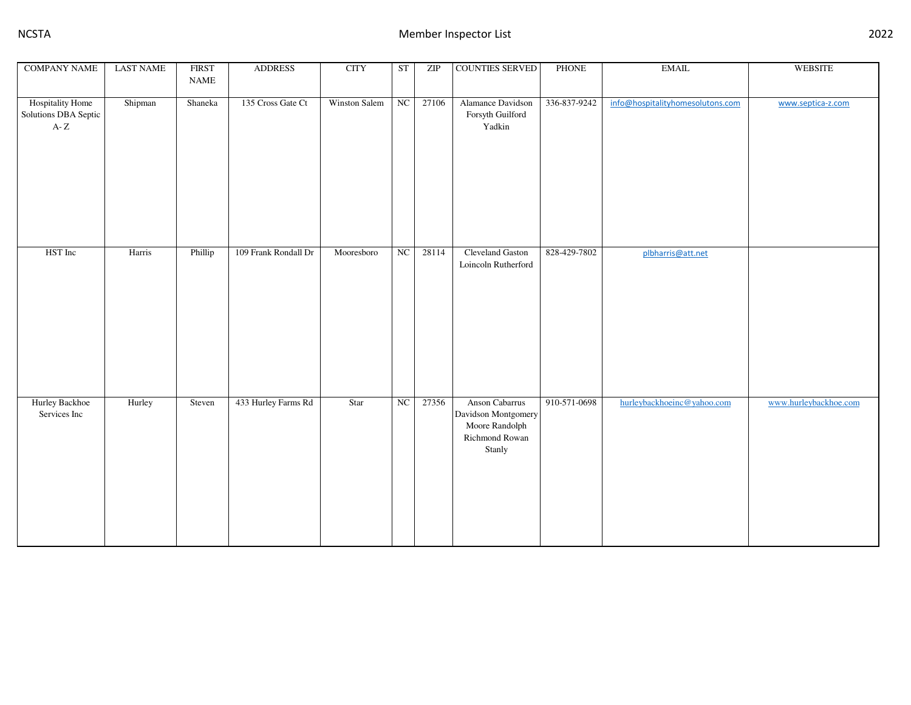| <b>COMPANY NAME</b>                                | <b>LAST NAME</b> | <b>FIRST</b>                 | <b>ADDRESS</b>       | <b>CITY</b>   | <b>ST</b>  | ZIP   | COUNTIES SERVED                                                                     | PHONE        | $\operatorname{EMAIL}$           | <b>WEBSITE</b>        |
|----------------------------------------------------|------------------|------------------------------|----------------------|---------------|------------|-------|-------------------------------------------------------------------------------------|--------------|----------------------------------|-----------------------|
|                                                    |                  | $\ensuremath{\mathsf{NAME}}$ |                      |               |            |       |                                                                                     |              |                                  |                       |
| Hospitality Home<br>Solutions DBA Septic<br>A- $Z$ | Shipman          | Shaneka                      | 135 Cross Gate Ct    | Winston Salem | NC         | 27106 | Alamance Davidson<br>Forsyth Guilford<br>Yadkin                                     | 336-837-9242 | info@hospitalityhomesolutons.com | www.septica-z.com     |
| HST Inc                                            | Harris           | Phillip                      | 109 Frank Rondall Dr | Mooresboro    | NC         | 28114 | Cleveland Gaston<br>Loincoln Rutherford                                             | 828-429-7802 | plbharris@att.net                |                       |
| Hurley Backhoe<br>Services Inc                     | Hurley           | Steven                       | 433 Hurley Farms Rd  | Star          | ${\rm NC}$ | 27356 | Anson Cabarrus<br>Davidson Montgomery<br>Moore Randolph<br>Richmond Rowan<br>Stanly | 910-571-0698 | hurleybackhoeinc@yahoo.com       | www.hurleybackhoe.com |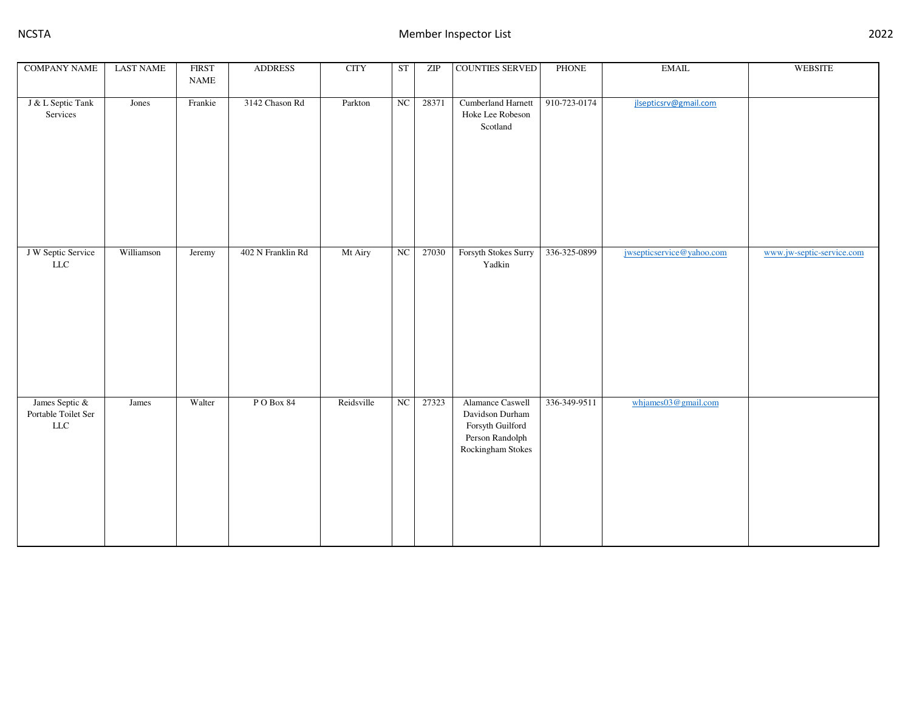| <b>COMPANY NAME</b>                                  | <b>LAST NAME</b> | <b>FIRST</b><br>$\ensuremath{\mathsf{NAME}}$ | <b>ADDRESS</b>    | <b>CITY</b> | <b>ST</b>        | ZIP   | COUNTIES SERVED                                                                                 | <b>PHONE</b> | $\operatorname{EMAIL}$    | <b>WEBSITE</b>            |
|------------------------------------------------------|------------------|----------------------------------------------|-------------------|-------------|------------------|-------|-------------------------------------------------------------------------------------------------|--------------|---------------------------|---------------------------|
| J & L Septic Tank<br>Services                        | Jones            | Frankie                                      | 3142 Chason Rd    | Parkton     | $_{\mathrm{NC}}$ | 28371 | Cumberland Harnett<br>Hoke Lee Robeson<br>Scotland                                              | 910-723-0174 | jlsepticsrv@gmail.com     |                           |
| J W Septic Service<br>${\rm LLC}$                    | Williamson       | Jeremy                                       | 402 N Franklin Rd | Mt Airy     | NC               | 27030 | Forsyth Stokes Surry<br>Yadkin                                                                  | 336-325-0899 | jwsepticservice@yahoo.com | www.jw-septic-service.com |
| James Septic &<br>Portable Toilet Ser<br>${\rm LLC}$ | James            | Walter                                       | PO Box 84         | Reidsville  | NC               | 27323 | Alamance Caswell<br>Davidson Durham<br>Forsyth Guilford<br>Person Randolph<br>Rockingham Stokes | 336-349-9511 | whjames03@gmail.com       |                           |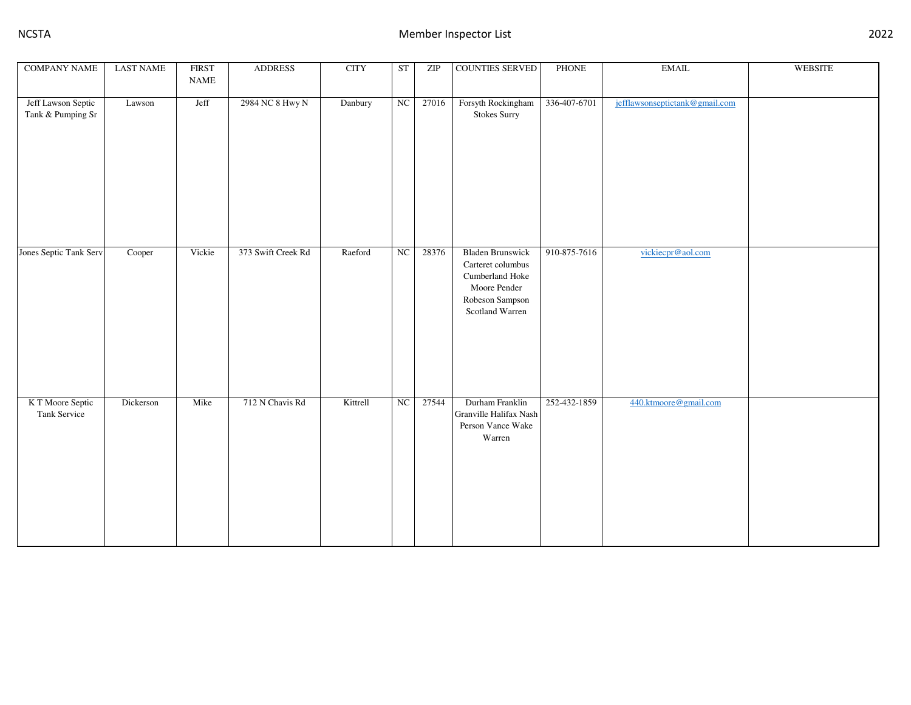| <b>COMPANY NAME</b>                     | <b>LAST NAME</b> | <b>FIRST</b><br>$\ensuremath{\mathsf{NAME}}$ | <b>ADDRESS</b>     | <b>CITY</b> | <b>ST</b>        | ZIP   | <b>COUNTIES SERVED</b>                                                                                                | <b>PHONE</b> | $\operatorname{EMAIL}$         | <b>WEBSITE</b> |
|-----------------------------------------|------------------|----------------------------------------------|--------------------|-------------|------------------|-------|-----------------------------------------------------------------------------------------------------------------------|--------------|--------------------------------|----------------|
|                                         |                  |                                              |                    |             |                  |       |                                                                                                                       |              |                                |                |
| Jeff Lawson Septic<br>Tank & Pumping Sr | Lawson           | Jeff                                         | 2984 NC 8 Hwy N    | Danbury     | $_{\mathrm{NC}}$ | 27016 | Forsyth Rockingham<br><b>Stokes Surry</b>                                                                             | 336-407-6701 | jefflawsonseptictank@gmail.com |                |
| Jones Septic Tank Serv                  | Cooper           | Vickie                                       | 373 Swift Creek Rd | Raeford     | $_{\rm NC}$      | 28376 | <b>Bladen Brunswick</b><br>Carteret columbus<br>Cumberland Hoke<br>Moore Pender<br>Robeson Sampson<br>Scotland Warren | 910-875-7616 | vickiecpr@aol.com              |                |
| K T Moore Septic<br>Tank Service        | Dickerson        | Mike                                         | 712 N Chavis Rd    | Kittrell    | $_{\rm NC}$      | 27544 | Durham Franklin<br>Granville Halifax Nash<br>Person Vance Wake<br>Warren                                              | 252-432-1859 | 440.ktmoore@gmail.com          |                |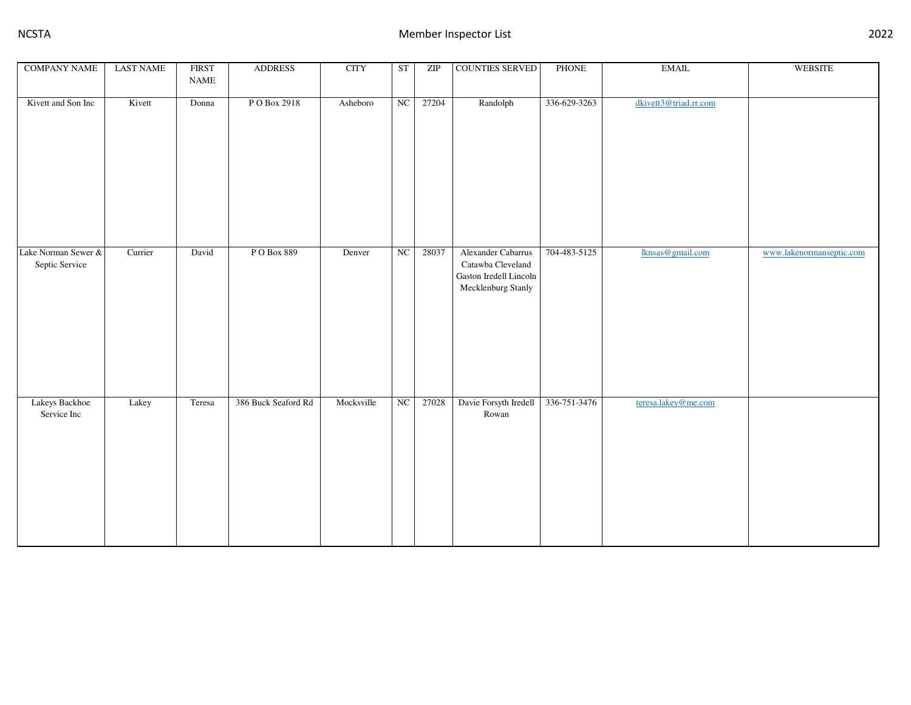| <b>COMPANY NAME</b>                   | <b>LAST NAME</b> | <b>FIRST</b><br>$\ensuremath{\mathsf{NAME}}$ | <b>ADDRESS</b>      | <b>CITY</b> | ST | ZIP   | <b>COUNTIES SERVED</b>                                                                  | PHONE        | $\operatorname{EMAIL}$ | WEBSITE                  |
|---------------------------------------|------------------|----------------------------------------------|---------------------|-------------|----|-------|-----------------------------------------------------------------------------------------|--------------|------------------------|--------------------------|
| Kivett and Son Inc                    | Kivett           | Donna                                        | P O Box 2918        | Asheboro    | NC | 27204 | Randolph                                                                                | 336-629-3263 | dkivett3@triad.rr.com  |                          |
| Lake Norman Sewer &<br>Septic Service | Currier          | David                                        | PO Box 889          | Denver      | NC | 28037 | Alexander Cabarrus<br>Catawba Cleveland<br>Gaston Iredell Lincoln<br>Mecklenburg Stanly | 704-483-5125 | lknsas@gmail.com       | www.lakenormanseptic.com |
| Lakeys Backhoe<br>Service Inc         | Lakey            | Teresa                                       | 386 Buck Seaford Rd | Mocksville  | NC | 27028 | Davie Forsyth Iredell<br>Rowan                                                          | 336-751-3476 | teresa.lakey@me.com    |                          |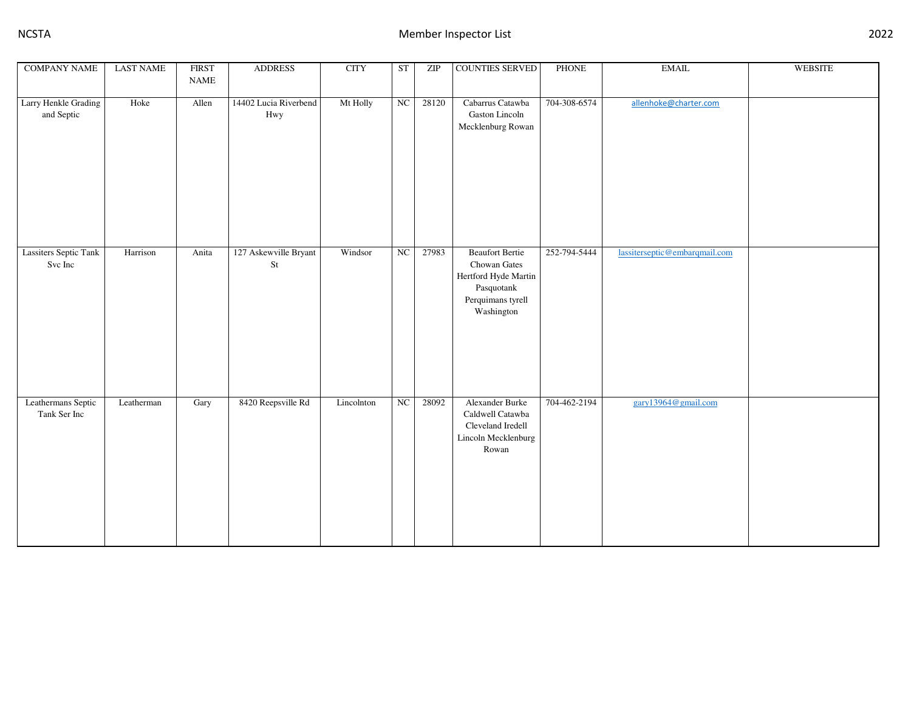| <b>COMPANY NAME</b>                     | <b>LAST NAME</b> | <b>FIRST</b><br>$\ensuremath{\mathsf{NAME}}$ | <b>ADDRESS</b>                     | <b>CITY</b> | <b>ST</b>   | ZIP   | <b>COUNTIES SERVED</b>                                                                                          | PHONE        | $\operatorname{EMAIL}$        | <b>WEBSITE</b> |
|-----------------------------------------|------------------|----------------------------------------------|------------------------------------|-------------|-------------|-------|-----------------------------------------------------------------------------------------------------------------|--------------|-------------------------------|----------------|
| Larry Henkle Grading<br>and Septic      | Hoke             | Allen                                        | 14402 Lucia Riverbend<br>Hwy       | Mt Holly    | $_{\rm NC}$ | 28120 | Cabarrus Catawba<br>Gaston Lincoln<br>Mecklenburg Rowan                                                         | 704-308-6574 | allenhoke@charter.com         |                |
| <b>Lassiters Septic Tank</b><br>Svc Inc | Harrison         | Anita                                        | 127 Askewville Bryant<br>$\rm{St}$ | Windsor     | NC          | 27983 | <b>Beaufort Bertie</b><br>Chowan Gates<br>Hertford Hyde Martin<br>Pasquotank<br>Perquimans tyrell<br>Washington | 252-794-5444 | lassiterseptic@embarqmail.com |                |
| Leathermans Septic<br>Tank Ser Inc      | Leatherman       | Gary                                         | 8420 Reepsville Rd                 | Lincolnton  | ${\rm NC}$  | 28092 | Alexander Burke<br>Caldwell Catawba<br>Cleveland Iredell<br>Lincoln Mecklenburg<br>Rowan                        | 704-462-2194 | gary13964@gmail.com           |                |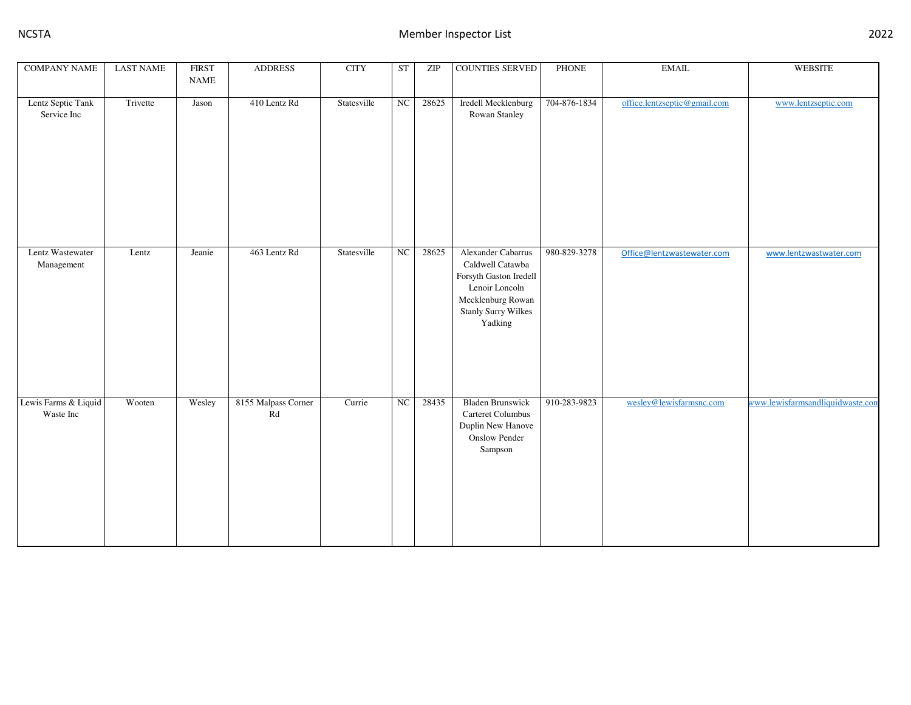| <b>COMPANY NAME</b>               | <b>LAST NAME</b> | <b>FIRST</b><br><b>NAME</b> | <b>ADDRESS</b>            | <b>CITY</b> | ST       | ZIP   | <b>COUNTIES SERVED</b>                                                                                                                           | PHONE        | <b>EMAIL</b>                 | <b>WEBSITE</b>                   |
|-----------------------------------|------------------|-----------------------------|---------------------------|-------------|----------|-------|--------------------------------------------------------------------------------------------------------------------------------------------------|--------------|------------------------------|----------------------------------|
| Lentz Septic Tank<br>Service Inc  | Trivette         | Jason                       | 410 Lentz Rd              | Statesville | NC       | 28625 | Iredell Mecklenburg<br>Rowan Stanley                                                                                                             | 704-876-1834 | office.lentzseptic@gmail.com | www.lentzseptic.com              |
|                                   |                  |                             |                           |             |          |       |                                                                                                                                                  |              |                              |                                  |
| Lentz Wastewater<br>Management    | Lentz            | Jeanie                      | 463 Lentz Rd              | Statesville | NC       | 28625 | Alexander Cabarrus<br>Caldwell Catawba<br>Forsyth Gaston Iredell<br>Lenoir Loncoln<br>Mecklenburg Rowan<br><b>Stanly Surry Wilkes</b><br>Yadking | 980-829-3278 | Office@lentzwastewater.com   | www.lentzwastwater.com           |
| Lewis Farms & Liquid<br>Waste Inc | Wooten           | Wesley                      | 8155 Malpass Corner<br>Rd | Currie      | $\rm NC$ | 28435 | <b>Bladen Brunswick</b><br>Carteret Columbus<br>Duplin New Hanove<br><b>Onslow Pender</b><br>Sampson                                             | 910-283-9823 | wesley@lewisfarmsnc.com      | www.lewisfarmsandliquidwaste.con |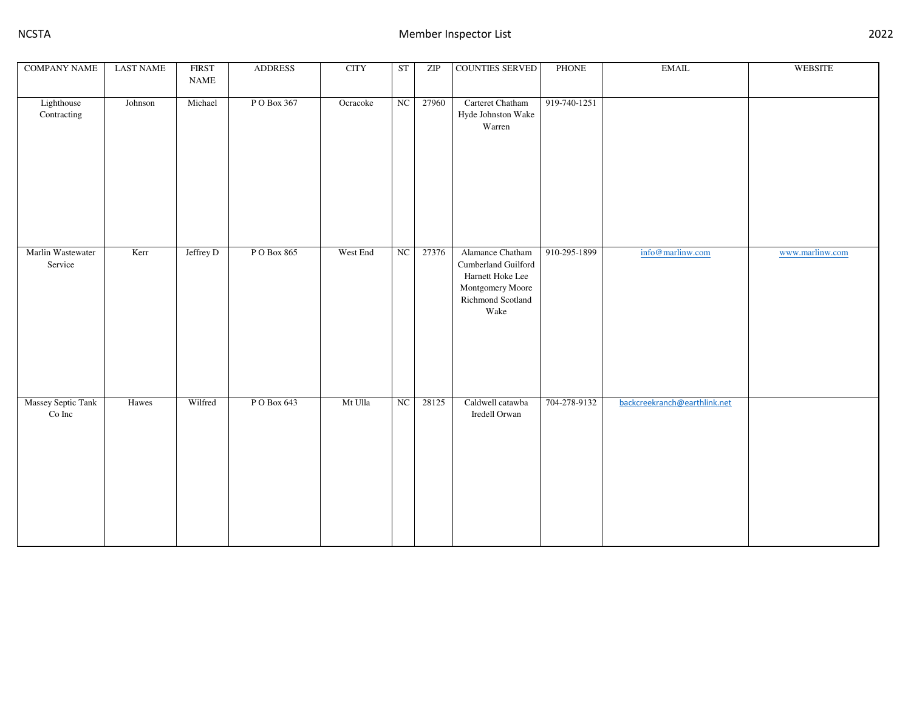| <b>COMPANY NAME</b>                | <b>LAST NAME</b> | <b>FIRST</b><br>$\ensuremath{\mathsf{NAME}}$ | <b>ADDRESS</b> | <b>CITY</b> | ST               | ZIP   | COUNTIES SERVED                                                                                              | <b>PHONE</b> | $\operatorname{EMAIL}$       | <b>WEBSITE</b>  |
|------------------------------------|------------------|----------------------------------------------|----------------|-------------|------------------|-------|--------------------------------------------------------------------------------------------------------------|--------------|------------------------------|-----------------|
| Lighthouse<br>Contracting          | Johnson          | Michael                                      | PO Box 367     | Ocracoke    | NC               | 27960 | Carteret Chatham<br>Hyde Johnston Wake<br>Warren                                                             | 919-740-1251 |                              |                 |
| Marlin Wastewater<br>Service       | Kerr             | Jeffrey D                                    | P O Box 865    | West End    | $_{\mathrm{NC}}$ | 27376 | Alamance Chatham<br>Cumberland Guilford<br>Harnett Hoke Lee<br>Montgomery Moore<br>Richmond Scotland<br>Wake | 910-295-1899 | info@marlinw.com             | www.marlinw.com |
| Massey Septic Tank<br>$\rm Co~Inc$ | Hawes            | Wilfred                                      | PO Box 643     | Mt Ulla     | $_{\rm NC}$      | 28125 | Caldwell catawba<br>Iredell Orwan                                                                            | 704-278-9132 | backcreekranch@earthlink.net |                 |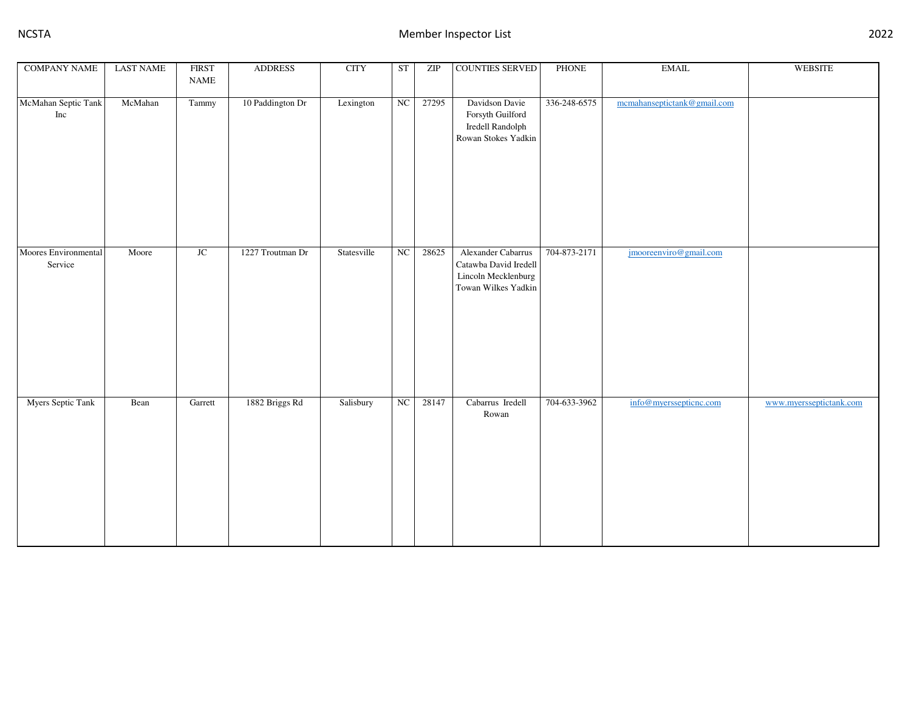| <b>COMPANY NAME</b>             | <b>LAST NAME</b> | <b>FIRST</b><br>$\ensuremath{\mathsf{NAME}}$ | <b>ADDRESS</b>   | <b>CITY</b> | <b>ST</b> | ZIP   | COUNTIES SERVED                                                                           | PHONE        | $\operatorname{EMAIL}$      | <b>WEBSITE</b>          |
|---------------------------------|------------------|----------------------------------------------|------------------|-------------|-----------|-------|-------------------------------------------------------------------------------------------|--------------|-----------------------------|-------------------------|
| McMahan Septic Tank<br>Inc      | McMahan          | Tammy                                        | 10 Paddington Dr | Lexington   | NC        | 27295 | Davidson Davie<br>Forsyth Guilford<br>Iredell Randolph<br>Rowan Stokes Yadkin             | 336-248-6575 | mcmahanseptictank@gmail.com |                         |
| Moores Environmental<br>Service | Moore            | JC                                           | 1227 Troutman Dr | Statesville | NC        | 28625 | Alexander Cabarrus<br>Catawba David Iredell<br>Lincoln Mecklenburg<br>Towan Wilkes Yadkin | 704-873-2171 | jmooreenviro@gmail.com      |                         |
| Myers Septic Tank               | Bean             | Garrett                                      | 1882 Briggs Rd   | Salisbury   | NC        | 28147 | Cabarrus Iredell<br>Rowan                                                                 | 704-633-3962 | info@myerssepticnc.com      | www.myersseptictank.com |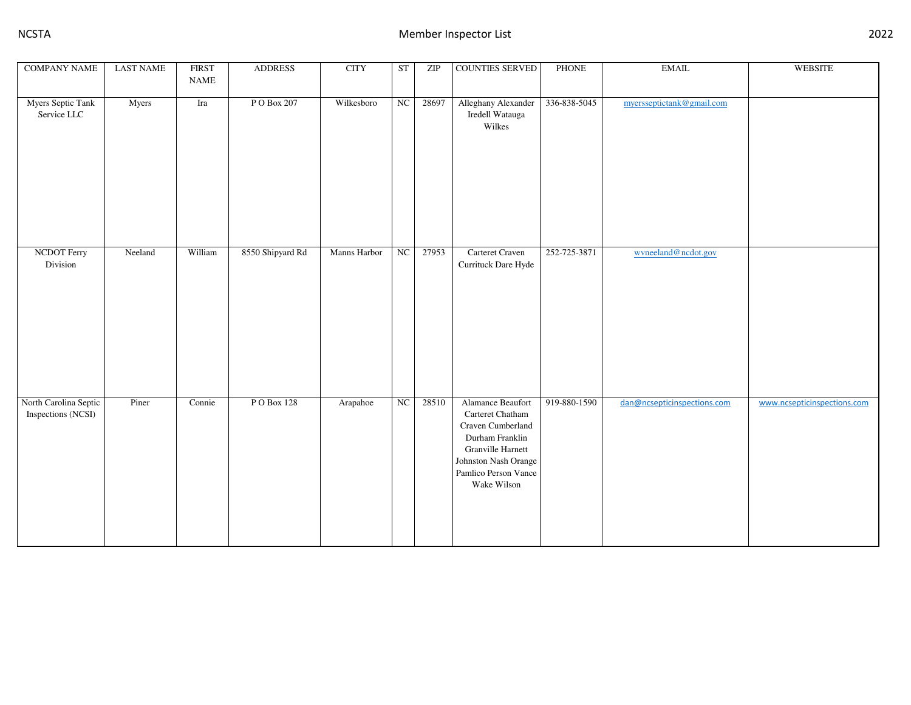| <b>COMPANY NAME</b>                         | <b>LAST NAME</b> | <b>FIRST</b><br><b>NAME</b> | <b>ADDRESS</b>   | <b>CITY</b>  | ST                     | ZIP   | <b>COUNTIES SERVED</b>                                                                                                                                            | <b>PHONE</b> | $\text{EMAIL}$              | <b>WEBSITE</b>              |
|---------------------------------------------|------------------|-----------------------------|------------------|--------------|------------------------|-------|-------------------------------------------------------------------------------------------------------------------------------------------------------------------|--------------|-----------------------------|-----------------------------|
|                                             |                  |                             |                  |              |                        |       |                                                                                                                                                                   |              |                             |                             |
| <b>Myers Septic Tank</b><br>Service LLC     | Myers            | Ira                         | P O Box 207      | Wilkesboro   | NC                     | 28697 | Alleghany Alexander<br>Iredell Watauga<br>Wilkes                                                                                                                  | 336-838-5045 | myersseptictank@gmail.com   |                             |
| <b>NCDOT</b> Ferry<br>Division              | Neeland          | William                     | 8550 Shipyard Rd | Manns Harbor | NC                     | 27953 | Carteret Craven<br>Currituck Dare Hyde                                                                                                                            | 252-725-3871 | wyneeland@ncdot.gov         |                             |
| North Carolina Septic<br>Inspections (NCSI) | Piner            | Connie                      | PO Box 128       | Arapahoe     | $\overline{\text{NC}}$ | 28510 | Alamance Beaufort<br>Carteret Chatham<br>Craven Cumberland<br>Durham Franklin<br>Granville Harnett<br>Johnston Nash Orange<br>Pamlico Person Vance<br>Wake Wilson | 919-880-1590 | dan@ncsepticinspections.com | www.ncsepticinspections.com |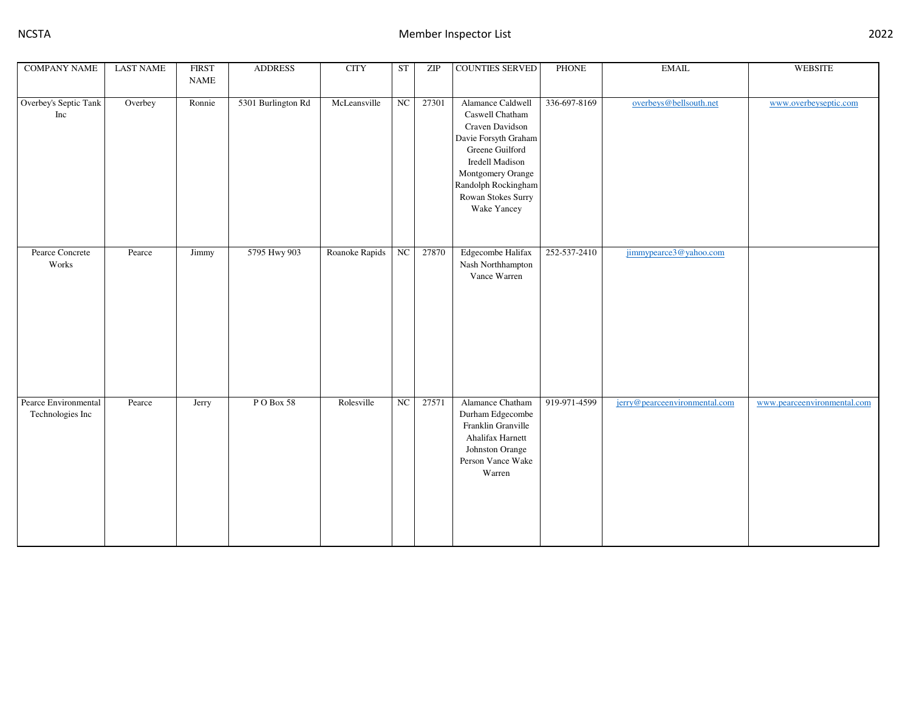| <b>COMPANY NAME</b>                      | <b>LAST NAME</b> | <b>FIRST</b>                 | <b>ADDRESS</b>     | <b>CITY</b>    | <b>ST</b>        | ZIP   | <b>COUNTIES SERVED</b>                                                                                                                                                                                 | <b>PHONE</b> | <b>EMAIL</b>                  | <b>WEBSITE</b>              |
|------------------------------------------|------------------|------------------------------|--------------------|----------------|------------------|-------|--------------------------------------------------------------------------------------------------------------------------------------------------------------------------------------------------------|--------------|-------------------------------|-----------------------------|
|                                          |                  | $\ensuremath{\mathsf{NAME}}$ |                    |                |                  |       |                                                                                                                                                                                                        |              |                               |                             |
| Overbey's Septic Tank<br>Inc             | Overbey          | Ronnie                       | 5301 Burlington Rd | McLeansville   | $_{\mathrm{NC}}$ | 27301 | Alamance Caldwell<br>Caswell Chatham<br>Craven Davidson<br>Davie Forsyth Graham<br>Greene Guilford<br>Iredell Madison<br>Montgomery Orange<br>Randolph Rockingham<br>Rowan Stokes Surry<br>Wake Yancey | 336-697-8169 | overbeys@bellsouth.net        | www.overbeyseptic.com       |
| Pearce Concrete<br>Works                 | Pearce           | Jimmy                        | 5795 Hwy 903       | Roanoke Rapids | NC               | 27870 | Edgecombe Halifax<br>Nash Northhampton<br>Vance Warren                                                                                                                                                 | 252-537-2410 | jimmypearce3@yahoo.com        |                             |
| Pearce Environmental<br>Technologies Inc | Pearce           | Jerry                        | PO Box 58          | Rolesville     | $_{\rm NC}$      | 27571 | Alamance Chatham<br>Durham Edgecombe<br>Franklin Granville<br>Ahalifax Harnett<br>Johnston Orange<br>Person Vance Wake<br>Warren                                                                       | 919-971-4599 | jerry@pearceenvironmental.com | www.pearceenvironmental.com |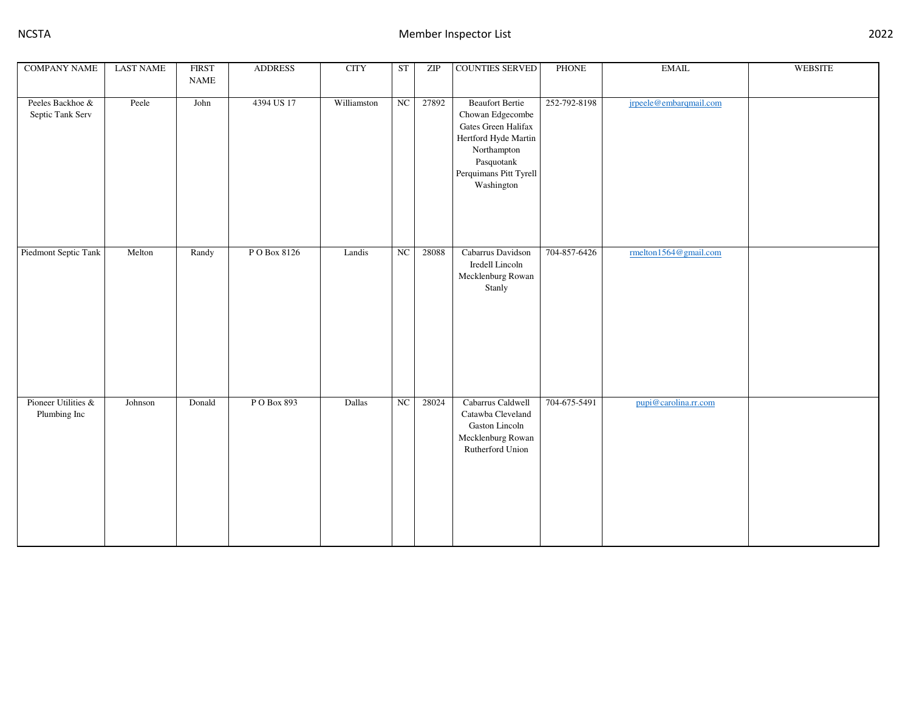| <b>COMPANY NAME</b>                  | <b>LAST NAME</b> | <b>FIRST</b><br>$\ensuremath{\mathsf{NAME}}$ | <b>ADDRESS</b> | <b>CITY</b> | ST          | ZIP   | <b>COUNTIES SERVED</b>                                                                                                                                         | PHONE        | <b>EMAIL</b>           | <b>WEBSITE</b> |
|--------------------------------------|------------------|----------------------------------------------|----------------|-------------|-------------|-------|----------------------------------------------------------------------------------------------------------------------------------------------------------------|--------------|------------------------|----------------|
| Peeles Backhoe &<br>Septic Tank Serv | Peele            | John                                         | 4394 US 17     | Williamston | $_{\rm NC}$ | 27892 | <b>Beaufort Bertie</b><br>Chowan Edgecombe<br>Gates Green Halifax<br>Hertford Hyde Martin<br>Northampton<br>Pasquotank<br>Perquimans Pitt Tyrell<br>Washington | 252-792-8198 | jrpeele@embarqmail.com |                |
| Piedmont Septic Tank                 | Melton           | Randy                                        | PO Box 8126    | Landis      | $_{\rm NC}$ | 28088 | Cabarrus Davidson<br>Iredell Lincoln<br>Mecklenburg Rowan<br>Stanly                                                                                            | 704-857-6426 | rmelton1564@gmail.com  |                |
| Pioneer Utilities &<br>Plumbing Inc  | Johnson          | Donald                                       | PO Box 893     | Dallas      | ${\rm NC}$  | 28024 | Cabarrus Caldwell<br>Catawba Cleveland<br>Gaston Lincoln<br>Mecklenburg Rowan<br>Rutherford Union                                                              | 704-675-5491 | pupi@carolina.rr.com   |                |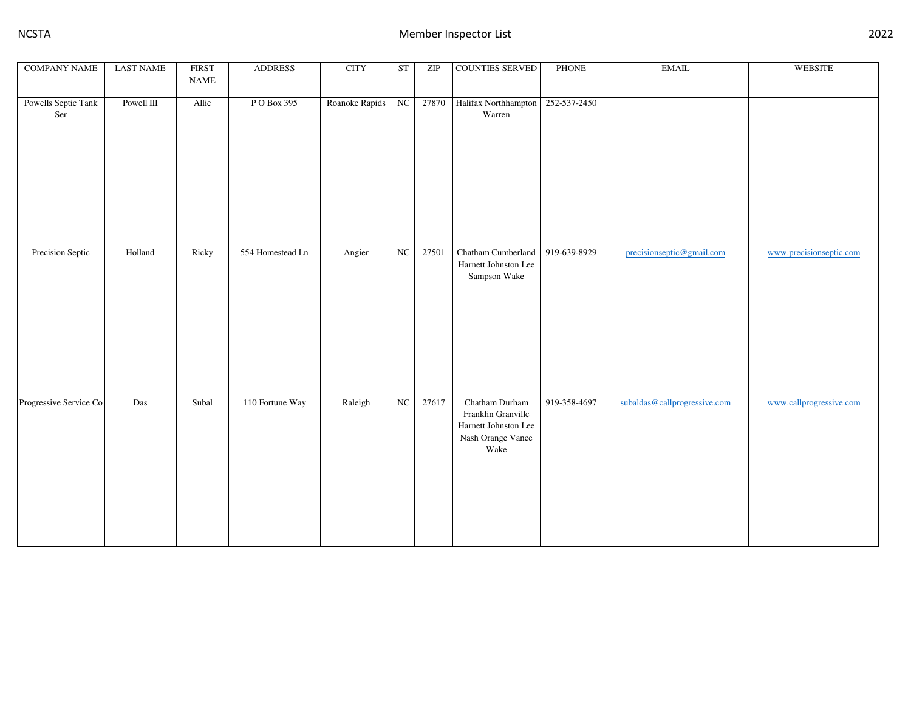| <b>COMPANY NAME</b>        | <b>LAST NAME</b> | <b>FIRST</b><br>$\ensuremath{\mathsf{NAME}}$ | <b>ADDRESS</b>   | <b>CITY</b>    | <b>ST</b> | ZIP   | COUNTIES SERVED                                                                           | PHONE        | $\operatorname{EMAIL}$       | <b>WEBSITE</b>          |
|----------------------------|------------------|----------------------------------------------|------------------|----------------|-----------|-------|-------------------------------------------------------------------------------------------|--------------|------------------------------|-------------------------|
| Powells Septic Tank<br>Ser | Powell III       | Allie                                        | P O Box 395      | Roanoke Rapids | NC        | 27870 | Halifax Northhampton<br>Warren                                                            | 252-537-2450 |                              |                         |
| Precision Septic           | Holland          | Ricky                                        | 554 Homestead Ln | Angier         | NC        | 27501 | Chatham Cumberland<br>Harnett Johnston Lee<br>Sampson Wake                                | 919-639-8929 | precisionseptic@gmail.com    | www.precisionseptic.com |
| Progressive Service Co     | Das              | Subal                                        | 110 Fortune Way  | Raleigh        | NC        | 27617 | Chatham Durham<br>Franklin Granville<br>Harnett Johnston Lee<br>Nash Orange Vance<br>Wake | 919-358-4697 | subaldas@callprogressive.com | www.callprogressive.com |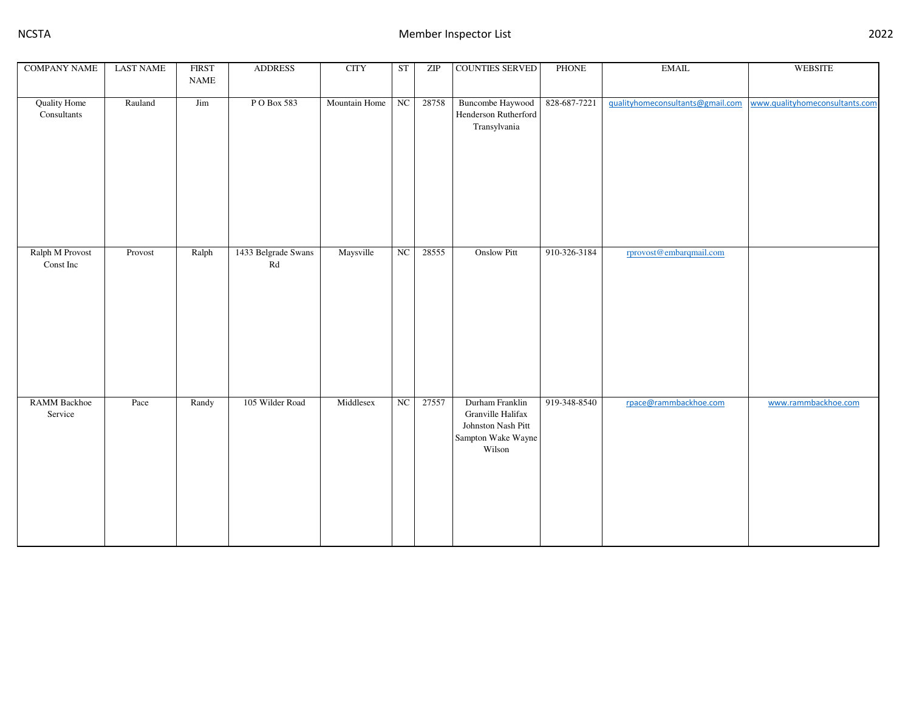| <b>COMPANY NAME</b>                | <b>LAST NAME</b> | <b>FIRST</b> | <b>ADDRESS</b>            | <b>CITY</b>   | ST          | ZIP   | <b>COUNTIES SERVED</b>                                                                     | PHONE        | $\operatorname{EMAIL}$           | WEBSITE                        |
|------------------------------------|------------------|--------------|---------------------------|---------------|-------------|-------|--------------------------------------------------------------------------------------------|--------------|----------------------------------|--------------------------------|
|                                    |                  | <b>NAME</b>  |                           |               |             |       |                                                                                            |              |                                  |                                |
| <b>Quality Home</b><br>Consultants | Rauland          | Jim          | PO Box 583                | Mountain Home | NC          | 28758 | <b>Buncombe Haywood</b><br>Henderson Rutherford<br>Transylvania                            | 828-687-7221 | gualityhomeconsultants@gmail.com | www.qualityhomeconsultants.com |
|                                    |                  |              |                           |               |             |       |                                                                                            |              |                                  |                                |
| Ralph M Provost<br>Const Inc       | Provost          | Ralph        | 1433 Belgrade Swans<br>Rd | Maysville     | NC          | 28555 | <b>Onslow Pitt</b>                                                                         | 910-326-3184 | rprovost@embarqmail.com          |                                |
| RAMM Backhoe<br>Service            | Pace             | Randy        | 105 Wilder Road           | Middlesex     | $_{\rm NC}$ | 27557 | Durham Franklin<br>Granville Halifax<br>Johnston Nash Pitt<br>Sampton Wake Wayne<br>Wilson | 919-348-8540 | rpace@rammbackhoe.com            | www.rammbackhoe.com            |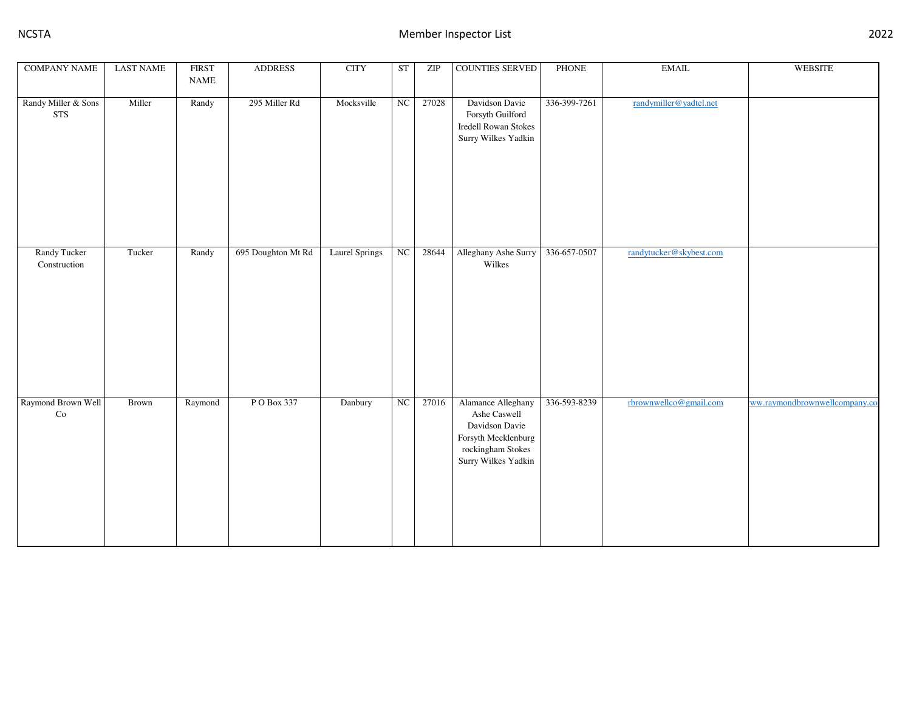| <b>COMPANY NAME</b>                 | <b>LAST NAME</b> | <b>FIRST</b><br>$\ensuremath{\mathsf{NAME}}$ | <b>ADDRESS</b>     | <b>CITY</b>           | $\operatorname{ST}$ | ZIP   | <b>COUNTIES SERVED</b>                                                                                                  | PHONE        | $\operatorname{EMAIL}$  | <b>WEBSITE</b>                |
|-------------------------------------|------------------|----------------------------------------------|--------------------|-----------------------|---------------------|-------|-------------------------------------------------------------------------------------------------------------------------|--------------|-------------------------|-------------------------------|
| Randy Miller & Sons<br><b>STS</b>   | Miller           | Randy                                        | 295 Miller Rd      | Mocksville            | NC                  | 27028 | Davidson Davie<br>Forsyth Guilford<br><b>Iredell Rowan Stokes</b><br>Surry Wilkes Yadkin                                | 336-399-7261 | randymiller@yadtel.net  |                               |
| <b>Randy Tucker</b><br>Construction | Tucker           | Randy                                        | 695 Doughton Mt Rd | <b>Laurel Springs</b> | NC                  | 28644 | Alleghany Ashe Surry<br>Wilkes                                                                                          | 336-657-0507 | randytucker@skybest.com |                               |
| Raymond Brown Well<br>Co            | Brown            | Raymond                                      | P O Box 337        | Danbury               | $_{\rm NC}$         | 27016 | Alamance Alleghany<br>Ashe Caswell<br>Davidson Davie<br>Forsyth Mecklenburg<br>rockingham Stokes<br>Surry Wilkes Yadkin | 336-593-8239 | rbrownwellco@gmail.com  | ww.raymondbrownwellcompany.co |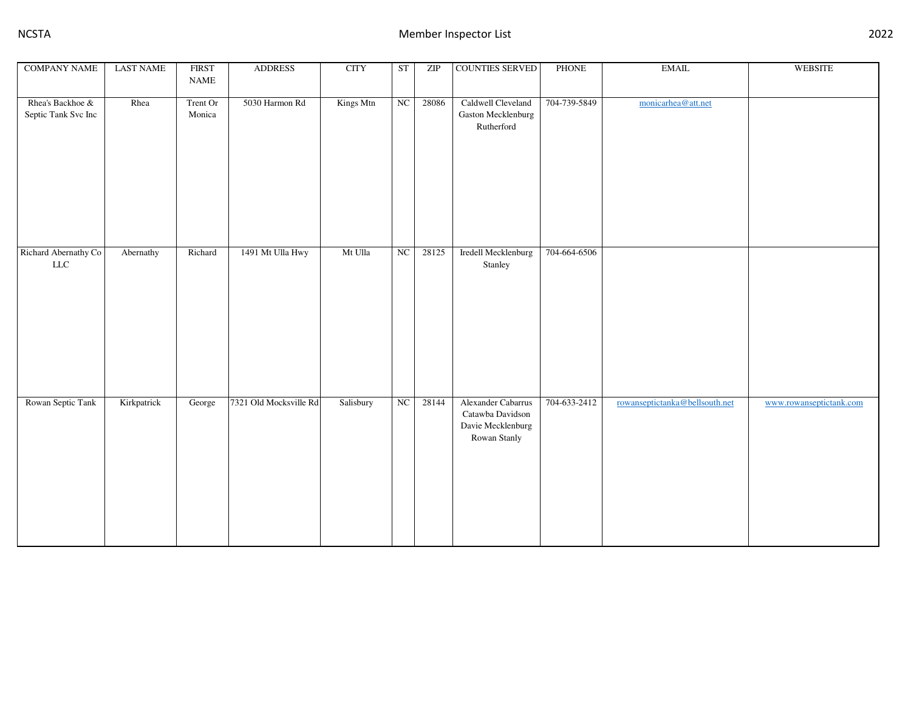| <b>COMPANY NAME</b>                     | <b>LAST NAME</b> | <b>FIRST</b><br>$\ensuremath{\mathsf{NAME}}$ | <b>ADDRESS</b>         | <b>CITY</b> | ST | ZIP   | <b>COUNTIES SERVED</b>                                                      | <b>PHONE</b> | $\operatorname{EMAIL}$         | <b>WEBSITE</b>          |
|-----------------------------------------|------------------|----------------------------------------------|------------------------|-------------|----|-------|-----------------------------------------------------------------------------|--------------|--------------------------------|-------------------------|
|                                         |                  |                                              |                        |             |    |       |                                                                             |              |                                |                         |
| Rhea's Backhoe &<br>Septic Tank Svc Inc | Rhea             | Trent Or<br>Monica                           | 5030 Harmon Rd         | Kings Mtn   | NC | 28086 | Caldwell Cleveland<br>Gaston Mecklenburg<br>Rutherford                      | 704-739-5849 | monicarhea@att.net             |                         |
| Richard Abernathy Co<br>${\rm LLC}$     | Abernathy        | Richard                                      | 1491 Mt Ulla Hwy       | Mt Ulla     | NC | 28125 | Iredell Mecklenburg<br>Stanley                                              | 704-664-6506 |                                |                         |
| Rowan Septic Tank                       | Kirkpatrick      | George                                       | 7321 Old Mocksville Rd | Salisbury   | NC | 28144 | Alexander Cabarrus<br>Catawba Davidson<br>Davie Mecklenburg<br>Rowan Stanly | 704-633-2412 | rowanseptictanka@bellsouth.net | www.rowanseptictank.com |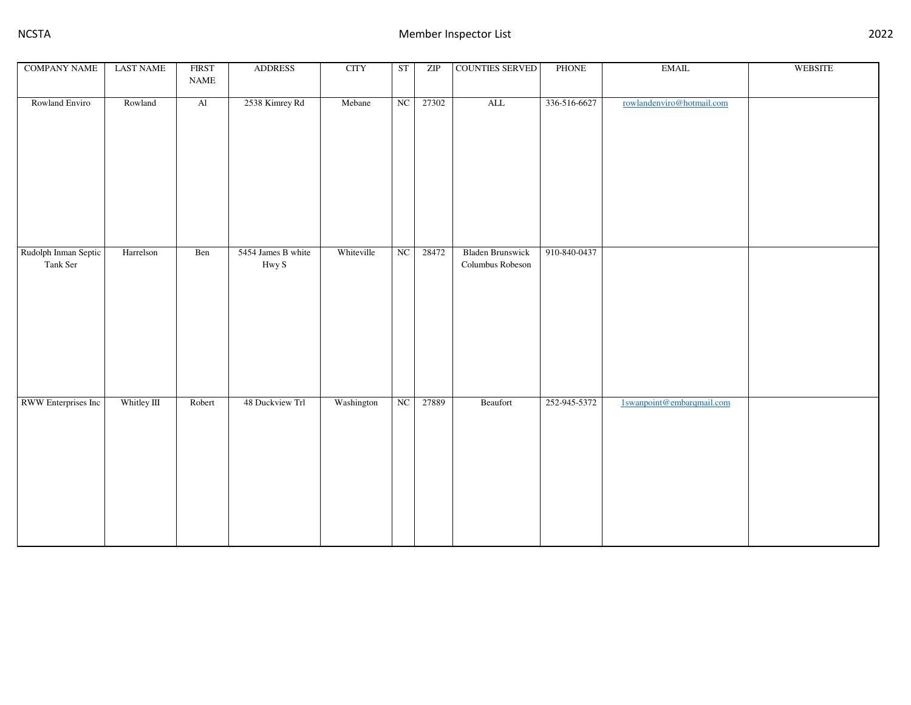| <b>COMPANY NAME</b>              | <b>LAST NAME</b> | <b>FIRST</b><br>$\ensuremath{\mathsf{NAME}}$ | <b>ADDRESS</b>              | $\rm CITY$ | <b>ST</b> | ZIP   | COUNTIES SERVED                             | PHONE        | $\operatorname{EMAIL}$    | <b>WEBSITE</b> |
|----------------------------------|------------------|----------------------------------------------|-----------------------------|------------|-----------|-------|---------------------------------------------|--------------|---------------------------|----------------|
| Rowland Enviro                   | Rowland          | $\mathop{\rm Al}\nolimits$                   | 2538 Kimrey Rd              | Mebane     | NC        | 27302 | $\mbox{ALL}$                                | 336-516-6627 | rowlandenviro@hotmail.com |                |
| Rudolph Inman Septic<br>Tank Ser | Harrelson        | Ben                                          | 5454 James B white<br>Hwy S | Whiteville | NC        | 28472 | <b>Bladen Brunswick</b><br>Columbus Robeson | 910-840-0437 |                           |                |
| RWW Enterprises Inc              | Whitley III      | Robert                                       | 48 Duckview Trl             | Washington | NC        | 27889 | Beaufort                                    | 252-945-5372 | 1swanpoint@embarqmail.com |                |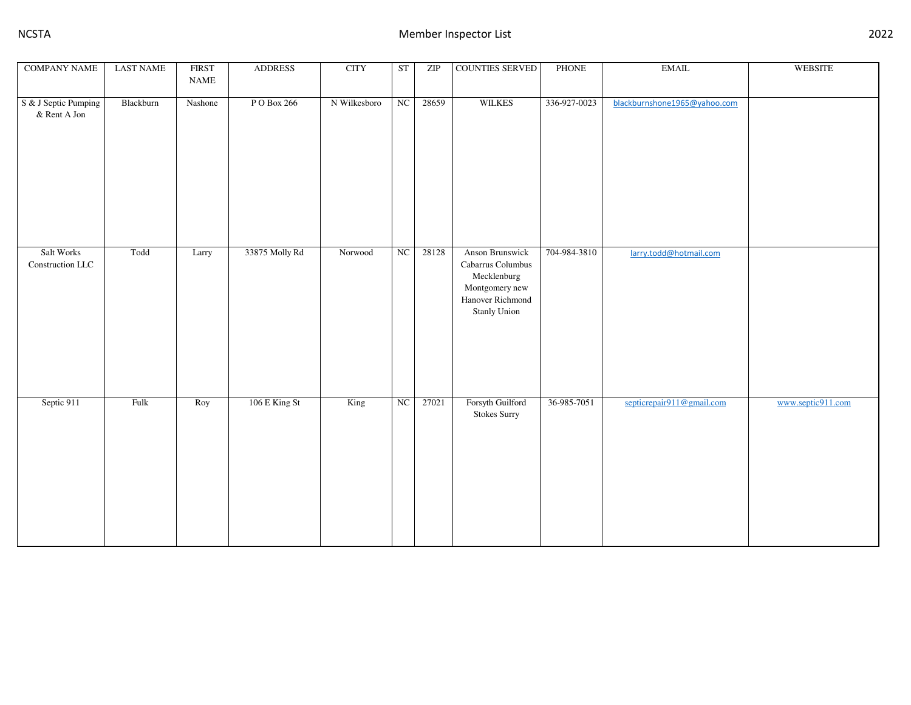| <b>COMPANY NAME</b>                  | <b>LAST NAME</b> | <b>FIRST</b><br>$\ensuremath{\mathsf{NAME}}$ | <b>ADDRESS</b> | <b>CITY</b>  | <b>ST</b> | ZIP   | COUNTIES SERVED                                                                                                  | PHONE        | $\operatorname{EMAIL}$       | <b>WEBSITE</b>    |
|--------------------------------------|------------------|----------------------------------------------|----------------|--------------|-----------|-------|------------------------------------------------------------------------------------------------------------------|--------------|------------------------------|-------------------|
| S & J Septic Pumping<br>& Rent A Jon | Blackburn        | Nashone                                      | P O Box 266    | N Wilkesboro | NC        | 28659 | <b>WILKES</b>                                                                                                    | 336-927-0023 | blackburnshone1965@yahoo.com |                   |
| Salt Works<br>Construction LLC       | Todd             | Larry                                        | 33875 Molly Rd | Norwood      | NC        | 28128 | Anson Brunswick<br>Cabarrus Columbus<br>Mecklenburg<br>Montgomery new<br>Hanover Richmond<br><b>Stanly Union</b> | 704-984-3810 | larry.todd@hotmail.com       |                   |
| Septic 911                           | Fulk             | Roy                                          | 106 E King St  | King         | $\rm NC$  | 27021 | Forsyth Guilford<br><b>Stokes Surry</b>                                                                          | 36-985-7051  | septicrepair911@gmail.com    | www.septic911.com |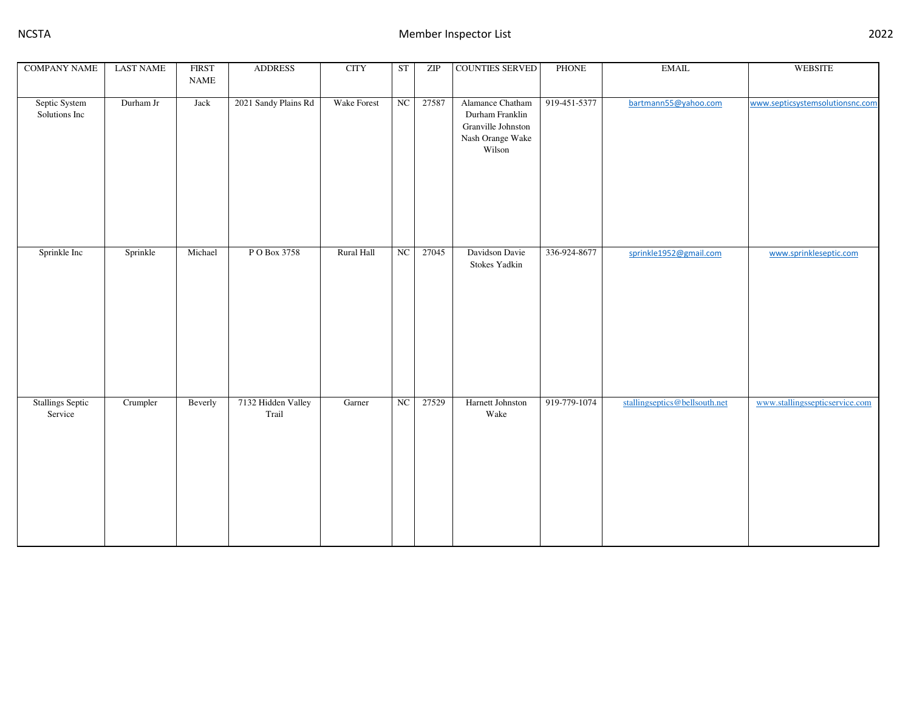| <b>COMPANY NAME</b>            | <b>LAST NAME</b> | <b>FIRST</b>                 | <b>ADDRESS</b>              | <b>CITY</b> | ST | ZIP   | <b>COUNTIES SERVED</b>                                                                  | PHONE        | $\operatorname{EMAIL}$        | WEBSITE                         |
|--------------------------------|------------------|------------------------------|-----------------------------|-------------|----|-------|-----------------------------------------------------------------------------------------|--------------|-------------------------------|---------------------------------|
|                                |                  | $\ensuremath{\mathsf{NAME}}$ |                             |             |    |       |                                                                                         |              |                               |                                 |
| Septic System<br>Solutions Inc | Durham Jr        | Jack                         | 2021 Sandy Plains Rd        | Wake Forest | NC | 27587 | Alamance Chatham<br>Durham Franklin<br>Granville Johnston<br>Nash Orange Wake<br>Wilson | 919-451-5377 | bartmann55@yahoo.com          | www.septicsystemsolutionsnc.com |
| Sprinkle Inc                   | Sprinkle         | Michael                      | P O Box 3758                | Rural Hall  | NC | 27045 | Davidson Davie<br>Stokes Yadkin                                                         | 336-924-8677 | sprinkle1952@gmail.com        | www.sprinkleseptic.com          |
| Stallings Septic<br>Service    | Crumpler         | Beverly                      | 7132 Hidden Valley<br>Trail | Garner      | NC | 27529 | Harnett Johnston<br>Wake                                                                | 919-779-1074 | stallingseptics@bellsouth.net | www.stallingssepticservice.com  |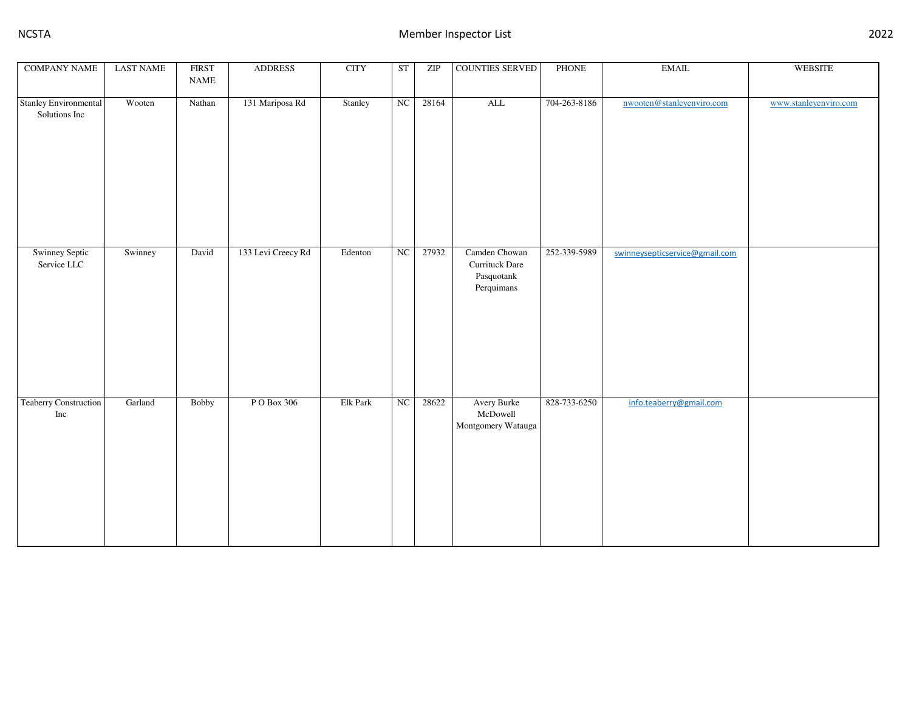| <b>COMPANY NAME</b>                    | <b>LAST NAME</b>         | <b>FIRST</b><br>$\ensuremath{\mathsf{NAME}}$ | <b>ADDRESS</b>     | <b>CITY</b> | ST       | ZIP   | COUNTIES SERVED                                             | PHONE        | $\operatorname{EMAIL}$         | <b>WEBSITE</b>        |
|----------------------------------------|--------------------------|----------------------------------------------|--------------------|-------------|----------|-------|-------------------------------------------------------------|--------------|--------------------------------|-----------------------|
|                                        |                          |                                              |                    |             |          |       |                                                             |              |                                |                       |
| Stanley Environmental<br>Solutions Inc | Wooten                   | Nathan                                       | 131 Mariposa Rd    | Stanley     | NC       | 28164 | $\mbox{ALL}$                                                | 704-263-8186 | nwooten@stanleyenviro.com      | www.stanleyenviro.com |
| Swinney Septic<br>Service LLC          | Swinney                  | David                                        | 133 Levi Creecy Rd | Edenton     | NC       | 27932 | Camden Chowan<br>Currituck Dare<br>Pasquotank<br>Perquimans | 252-339-5989 | swinneysepticservice@gmail.com |                       |
| Teaberry Construction<br>Inc           | $\operatorname{Garland}$ | Bobby                                        | P O Box 306        | Elk Park    | $\rm NC$ | 28622 | Avery Burke<br>McDowell<br>Montgomery Watauga               | 828-733-6250 | info.teaberry@gmail.com        |                       |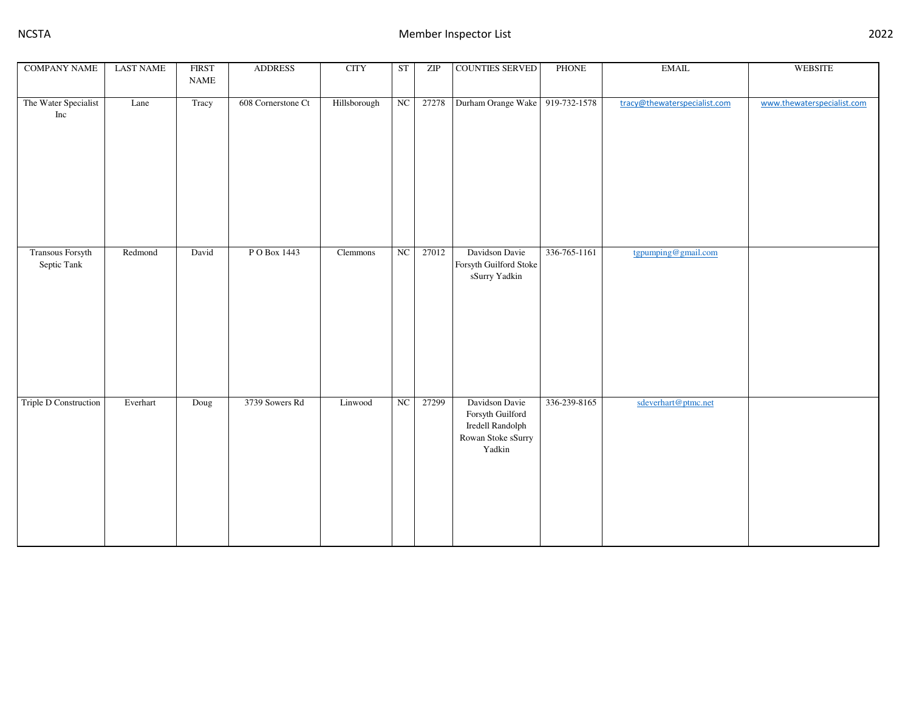| <b>COMPANY NAME</b>             | <b>LAST NAME</b> | <b>FIRST</b><br>$\ensuremath{\mathsf{NAME}}$ | <b>ADDRESS</b>     | <b>CITY</b>  | ST | ZIP   | COUNTIES SERVED                                                                        | PHONE        | $\operatorname{EMAIL}$       | <b>WEBSITE</b>             |
|---------------------------------|------------------|----------------------------------------------|--------------------|--------------|----|-------|----------------------------------------------------------------------------------------|--------------|------------------------------|----------------------------|
|                                 |                  |                                              |                    |              |    |       |                                                                                        |              |                              |                            |
| The Water Specialist<br>Inc     | Lane             | Tracy                                        | 608 Cornerstone Ct | Hillsborough | NC | 27278 | Durham Orange Wake 919-732-1578                                                        |              | tracy@thewaterspecialist.com | www.thewaterspecialist.com |
| Transous Forsyth<br>Septic Tank | Redmond          | David                                        | PO Box 1443        | Clemmons     | NC | 27012 | Davidson Davie<br>Forsyth Guilford Stoke<br>sSurry Yadkin                              | 336-765-1161 | tgpumping@gmail.com          |                            |
| Triple D Construction           | Everhart         | Doug                                         | 3739 Sowers Rd     | Linwood      | NC | 27299 | Davidson Davie<br>Forsyth Guilford<br>Iredell Randolph<br>Rowan Stoke sSurry<br>Yadkin | 336-239-8165 | sdeverhart@ptmc.net          |                            |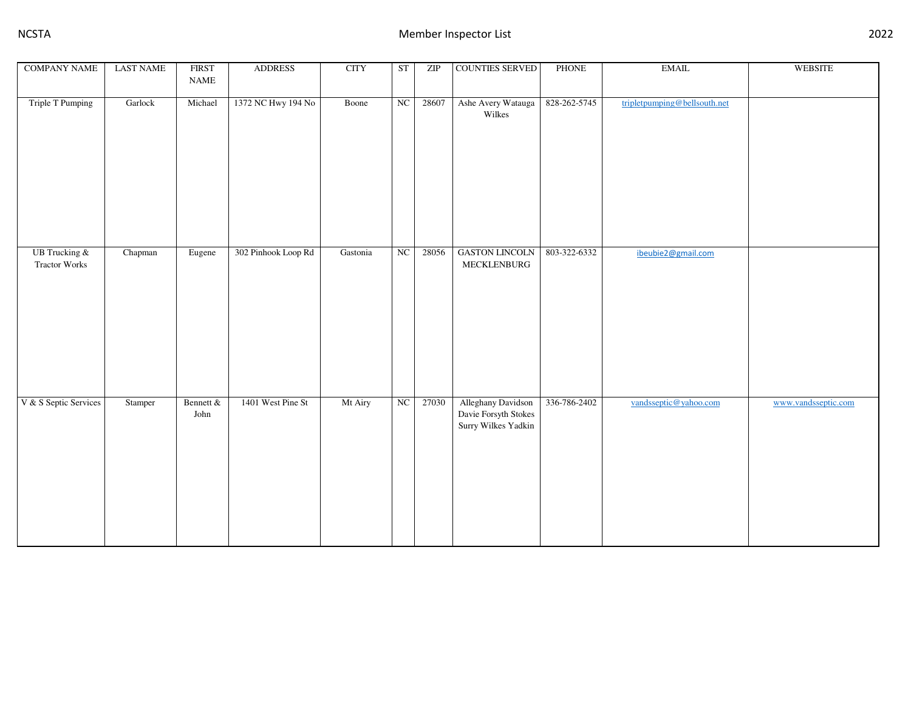| <b>COMPANY NAME</b>                          | <b>LAST NAME</b> | <b>FIRST</b><br>$\ensuremath{\mathsf{NAME}}$ | <b>ADDRESS</b>      | <b>CITY</b> | ST         | ZIP   | COUNTIES SERVED                                                   | PHONE        | $\operatorname{EMAIL}$       | WEBSITE             |
|----------------------------------------------|------------------|----------------------------------------------|---------------------|-------------|------------|-------|-------------------------------------------------------------------|--------------|------------------------------|---------------------|
|                                              |                  |                                              |                     |             |            |       |                                                                   |              |                              |                     |
| Triple T Pumping                             | Garlock          | Michael                                      | 1372 NC Hwy 194 No  | Boone       | NC         | 28607 | Ashe Avery Watauga<br>Wilkes                                      | 828-262-5745 | tripletpumping@bellsouth.net |                     |
|                                              |                  |                                              |                     |             |            |       |                                                                   |              |                              |                     |
| <b>UB</b> Trucking &<br><b>Tractor Works</b> | Chapman          | Eugene                                       | 302 Pinhook Loop Rd | Gastonia    | NC         | 28056 | <b>GASTON LINCOLN</b><br>MECKLENBURG                              | 803-322-6332 | ibeubie2@gmail.com           |                     |
| V & S Septic Services                        | Stamper          | Bennett &<br>John                            | 1401 West Pine St   | Mt Airy     | ${\rm NC}$ | 27030 | Alleghany Davidson<br>Davie Forsyth Stokes<br>Surry Wilkes Yadkin | 336-786-2402 | vandsseptic@yahoo.com        | www.vandsseptic.com |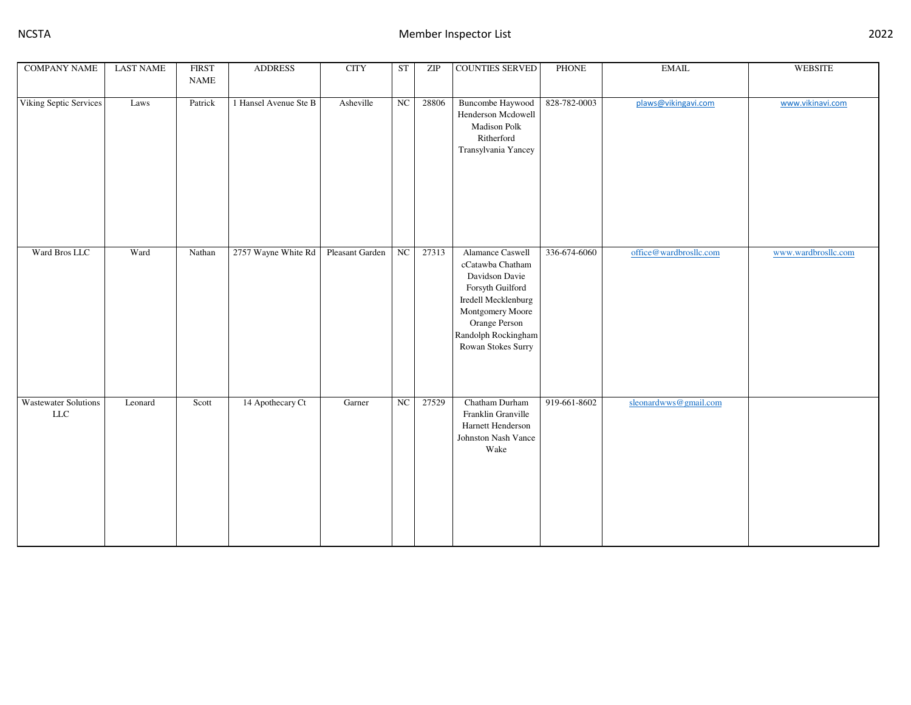| <b>COMPANY NAME</b>                | <b>LAST NAME</b> | <b>FIRST</b><br><b>NAME</b> | <b>ADDRESS</b>        | <b>CITY</b>     | <b>ST</b>  | ZIP   | <b>COUNTIES SERVED</b>                                                                                                                                                              | PHONE        | <b>EMAIL</b>           | <b>WEBSITE</b>      |
|------------------------------------|------------------|-----------------------------|-----------------------|-----------------|------------|-------|-------------------------------------------------------------------------------------------------------------------------------------------------------------------------------------|--------------|------------------------|---------------------|
| Viking Septic Services             | Laws             | Patrick                     | 1 Hansel Avenue Ste B | Asheville       | NC         | 28806 | <b>Buncombe Haywood</b><br>Henderson Mcdowell<br>Madison Polk<br>Ritherford<br>Transylvania Yancey                                                                                  | 828-782-0003 | plaws@vikingavi.com    | www.vikinavi.com    |
| Ward Bros LLC                      | Ward             | Nathan                      | 2757 Wayne White Rd   | Pleasant Garden | NC         | 27313 | Alamance Caswell<br>cCatawba Chatham<br>Davidson Davie<br>Forsyth Guilford<br>Iredell Mecklenburg<br>Montgomery Moore<br>Orange Person<br>Randolph Rockingham<br>Rowan Stokes Surry | 336-674-6060 | office@wardbrosllc.com | www.wardbrosllc.com |
| <b>Wastewater Solutions</b><br>LLC | Leonard          | Scott                       | 14 Apothecary Ct      | Garner          | ${\rm NC}$ | 27529 | Chatham Durham<br>Franklin Granville<br>Harnett Henderson<br>Johnston Nash Vance<br>Wake                                                                                            | 919-661-8602 | sleonardwws@gmail.com  |                     |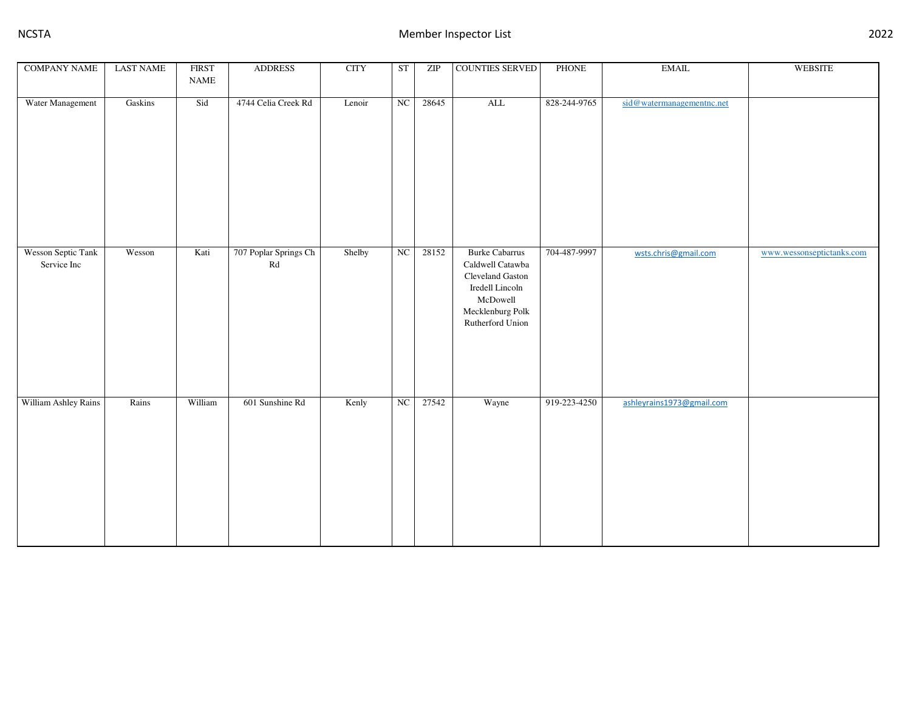| <b>COMPANY NAME</b>               | <b>LAST NAME</b> | <b>FIRST</b><br>$\ensuremath{\mathsf{NAME}}$ | <b>ADDRESS</b>                                      | <b>CITY</b> | ST                     | ZIP   | <b>COUNTIES SERVED</b>                                                                                                               | PHONE        | $\operatorname{EMAIL}$    | <b>WEBSITE</b>            |
|-----------------------------------|------------------|----------------------------------------------|-----------------------------------------------------|-------------|------------------------|-------|--------------------------------------------------------------------------------------------------------------------------------------|--------------|---------------------------|---------------------------|
| Water Management                  | Gaskins          | Sid                                          | 4744 Celia Creek Rd                                 | Lenoir      | NC                     | 28645 | $\mbox{ALL}$                                                                                                                         | 828-244-9765 | sid@watermanagementnc.net |                           |
| Wesson Septic Tank<br>Service Inc | Wesson           | Kati                                         | 707 Poplar Springs Ch<br>$\mathop{\rm Rd}\nolimits$ | Shelby      | $\overline{\text{NC}}$ | 28152 | <b>Burke Cabarrus</b><br>Caldwell Catawba<br>Cleveland Gaston<br>Iredell Lincoln<br>McDowell<br>Mecklenburg Polk<br>Rutherford Union | 704-487-9997 | wsts.chris@gmail.com      | www.wessonseptictanks.com |
| William Ashley Rains              | Rains            | William                                      | 601 Sunshine Rd                                     | Kenly       | NC                     | 27542 | Wayne                                                                                                                                | 919-223-4250 | ashleyrains1973@gmail.com |                           |